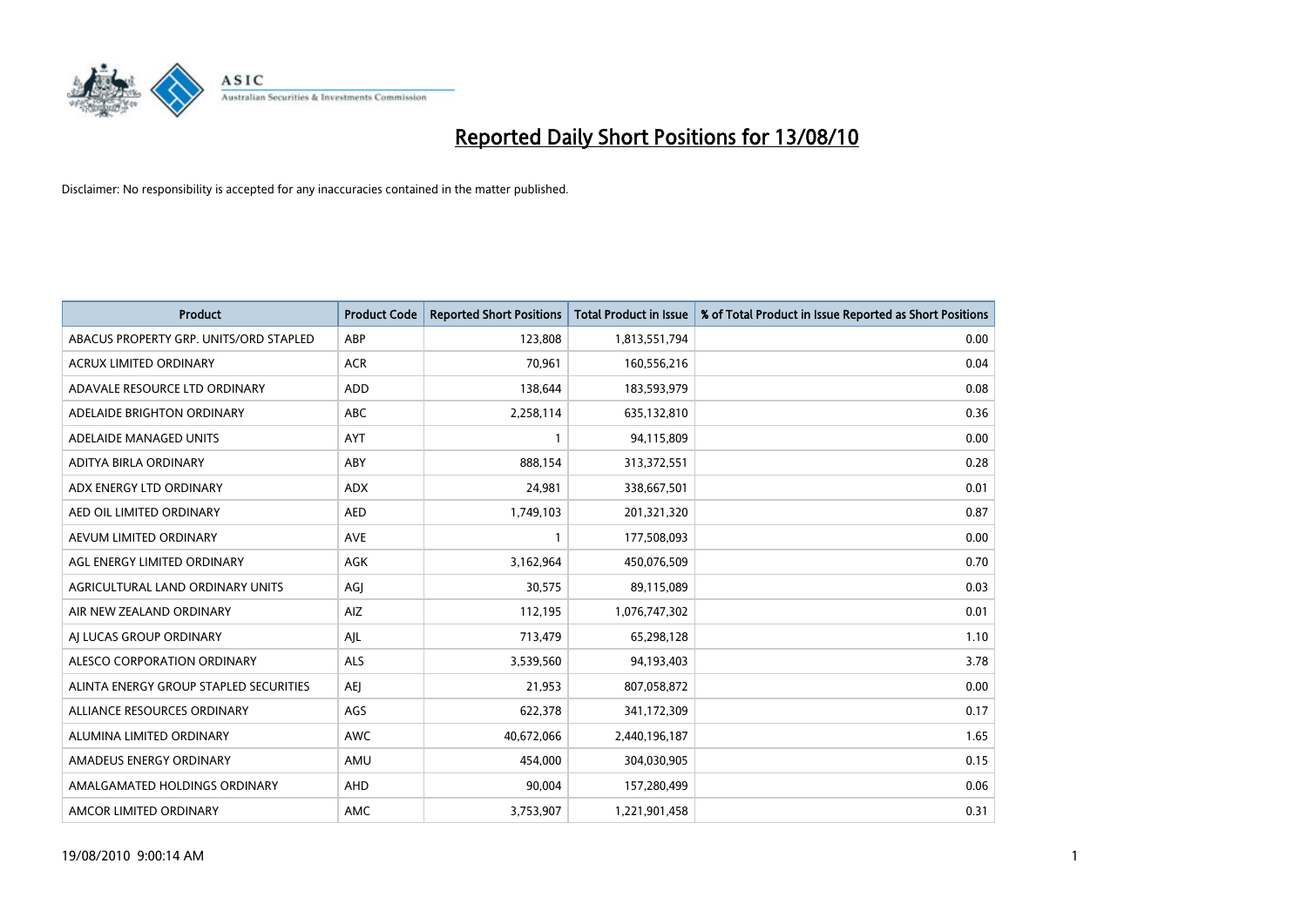

| <b>Product</b>                         | <b>Product Code</b> | <b>Reported Short Positions</b> | <b>Total Product in Issue</b> | % of Total Product in Issue Reported as Short Positions |
|----------------------------------------|---------------------|---------------------------------|-------------------------------|---------------------------------------------------------|
| ABACUS PROPERTY GRP. UNITS/ORD STAPLED | ABP                 | 123,808                         | 1,813,551,794                 | 0.00                                                    |
| ACRUX LIMITED ORDINARY                 | <b>ACR</b>          | 70,961                          | 160,556,216                   | 0.04                                                    |
| ADAVALE RESOURCE LTD ORDINARY          | <b>ADD</b>          | 138,644                         | 183,593,979                   | 0.08                                                    |
| ADELAIDE BRIGHTON ORDINARY             | ABC                 | 2,258,114                       | 635,132,810                   | 0.36                                                    |
| ADELAIDE MANAGED UNITS                 | AYT                 |                                 | 94,115,809                    | 0.00                                                    |
| ADITYA BIRLA ORDINARY                  | ABY                 | 888,154                         | 313,372,551                   | 0.28                                                    |
| ADX ENERGY LTD ORDINARY                | <b>ADX</b>          | 24,981                          | 338,667,501                   | 0.01                                                    |
| AED OIL LIMITED ORDINARY               | <b>AED</b>          | 1,749,103                       | 201,321,320                   | 0.87                                                    |
| AEVUM LIMITED ORDINARY                 | <b>AVE</b>          |                                 | 177,508,093                   | 0.00                                                    |
| AGL ENERGY LIMITED ORDINARY            | <b>AGK</b>          | 3,162,964                       | 450,076,509                   | 0.70                                                    |
| AGRICULTURAL LAND ORDINARY UNITS       | AGJ                 | 30,575                          | 89,115,089                    | 0.03                                                    |
| AIR NEW ZEALAND ORDINARY               | AIZ                 | 112,195                         | 1,076,747,302                 | 0.01                                                    |
| AI LUCAS GROUP ORDINARY                | AJL                 | 713,479                         | 65,298,128                    | 1.10                                                    |
| ALESCO CORPORATION ORDINARY            | <b>ALS</b>          | 3,539,560                       | 94,193,403                    | 3.78                                                    |
| ALINTA ENERGY GROUP STAPLED SECURITIES | <b>AEI</b>          | 21,953                          | 807,058,872                   | 0.00                                                    |
| ALLIANCE RESOURCES ORDINARY            | AGS                 | 622,378                         | 341,172,309                   | 0.17                                                    |
| ALUMINA LIMITED ORDINARY               | <b>AWC</b>          | 40,672,066                      | 2,440,196,187                 | 1.65                                                    |
| AMADEUS ENERGY ORDINARY                | AMU                 | 454,000                         | 304,030,905                   | 0.15                                                    |
| AMALGAMATED HOLDINGS ORDINARY          | AHD                 | 90,004                          | 157,280,499                   | 0.06                                                    |
| AMCOR LIMITED ORDINARY                 | <b>AMC</b>          | 3,753,907                       | 1,221,901,458                 | 0.31                                                    |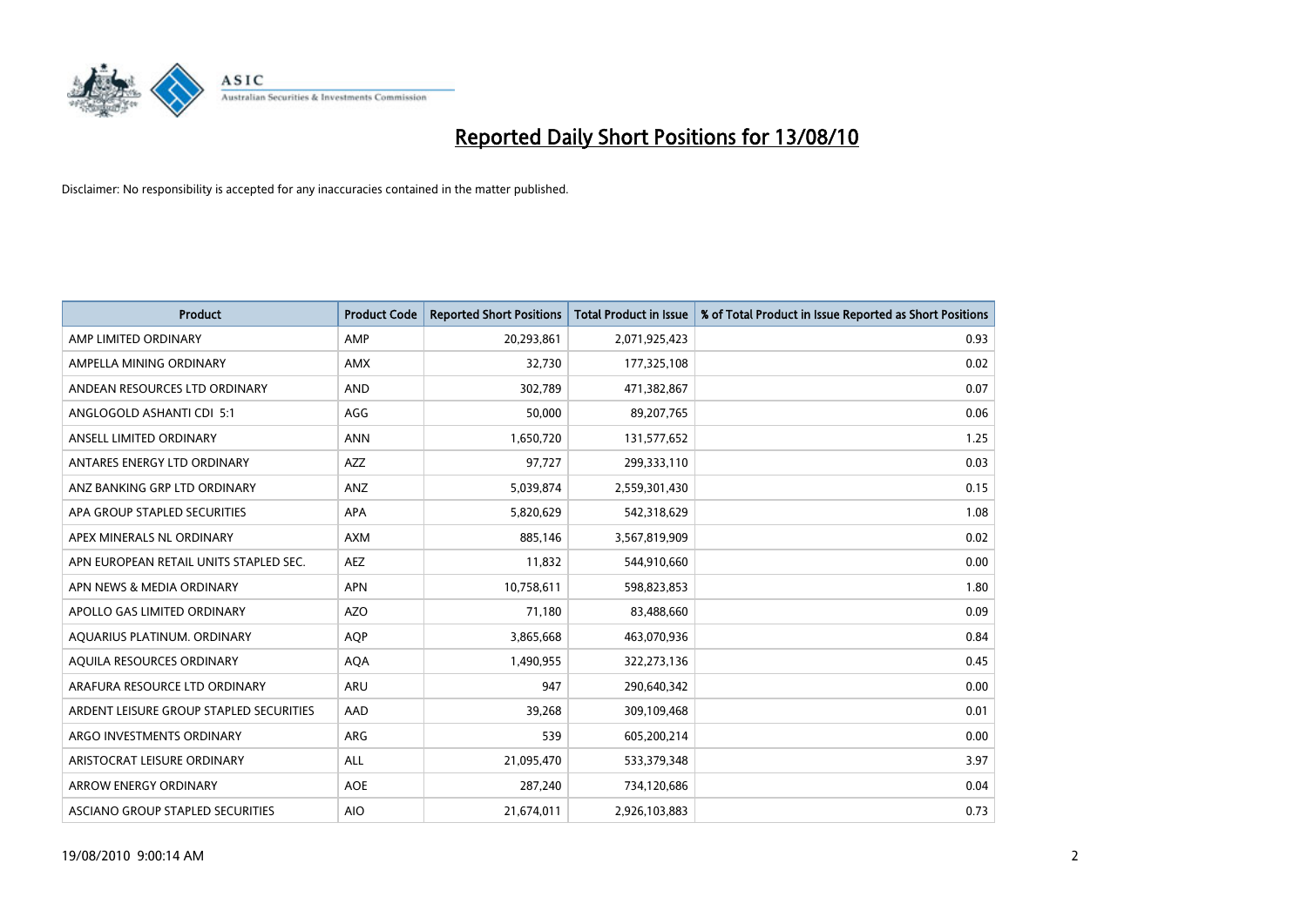

| <b>Product</b>                          | <b>Product Code</b> | <b>Reported Short Positions</b> | Total Product in Issue | % of Total Product in Issue Reported as Short Positions |
|-----------------------------------------|---------------------|---------------------------------|------------------------|---------------------------------------------------------|
| AMP LIMITED ORDINARY                    | AMP                 | 20,293,861                      | 2,071,925,423          | 0.93                                                    |
| AMPELLA MINING ORDINARY                 | <b>AMX</b>          | 32,730                          | 177,325,108            | 0.02                                                    |
| ANDEAN RESOURCES LTD ORDINARY           | <b>AND</b>          | 302,789                         | 471,382,867            | 0.07                                                    |
| ANGLOGOLD ASHANTI CDI 5:1               | AGG                 | 50,000                          | 89,207,765             | 0.06                                                    |
| ANSELL LIMITED ORDINARY                 | <b>ANN</b>          | 1,650,720                       | 131,577,652            | 1.25                                                    |
| ANTARES ENERGY LTD ORDINARY             | <b>AZZ</b>          | 97,727                          | 299,333,110            | 0.03                                                    |
| ANZ BANKING GRP LTD ORDINARY            | ANZ                 | 5,039,874                       | 2,559,301,430          | 0.15                                                    |
| APA GROUP STAPLED SECURITIES            | <b>APA</b>          | 5,820,629                       | 542,318,629            | 1.08                                                    |
| APEX MINERALS NL ORDINARY               | <b>AXM</b>          | 885,146                         | 3,567,819,909          | 0.02                                                    |
| APN EUROPEAN RETAIL UNITS STAPLED SEC.  | <b>AEZ</b>          | 11,832                          | 544,910,660            | 0.00                                                    |
| APN NEWS & MEDIA ORDINARY               | <b>APN</b>          | 10,758,611                      | 598,823,853            | 1.80                                                    |
| APOLLO GAS LIMITED ORDINARY             | <b>AZO</b>          | 71,180                          | 83,488,660             | 0.09                                                    |
| AQUARIUS PLATINUM. ORDINARY             | <b>AOP</b>          | 3,865,668                       | 463,070,936            | 0.84                                                    |
| AOUILA RESOURCES ORDINARY               | <b>AQA</b>          | 1,490,955                       | 322,273,136            | 0.45                                                    |
| ARAFURA RESOURCE LTD ORDINARY           | <b>ARU</b>          | 947                             | 290,640,342            | 0.00                                                    |
| ARDENT LEISURE GROUP STAPLED SECURITIES | AAD                 | 39,268                          | 309,109,468            | 0.01                                                    |
| ARGO INVESTMENTS ORDINARY               | <b>ARG</b>          | 539                             | 605,200,214            | 0.00                                                    |
| ARISTOCRAT LEISURE ORDINARY             | <b>ALL</b>          | 21,095,470                      | 533,379,348            | 3.97                                                    |
| <b>ARROW ENERGY ORDINARY</b>            | <b>AOE</b>          | 287,240                         | 734,120,686            | 0.04                                                    |
| ASCIANO GROUP STAPLED SECURITIES        | <b>AIO</b>          | 21,674,011                      | 2,926,103,883          | 0.73                                                    |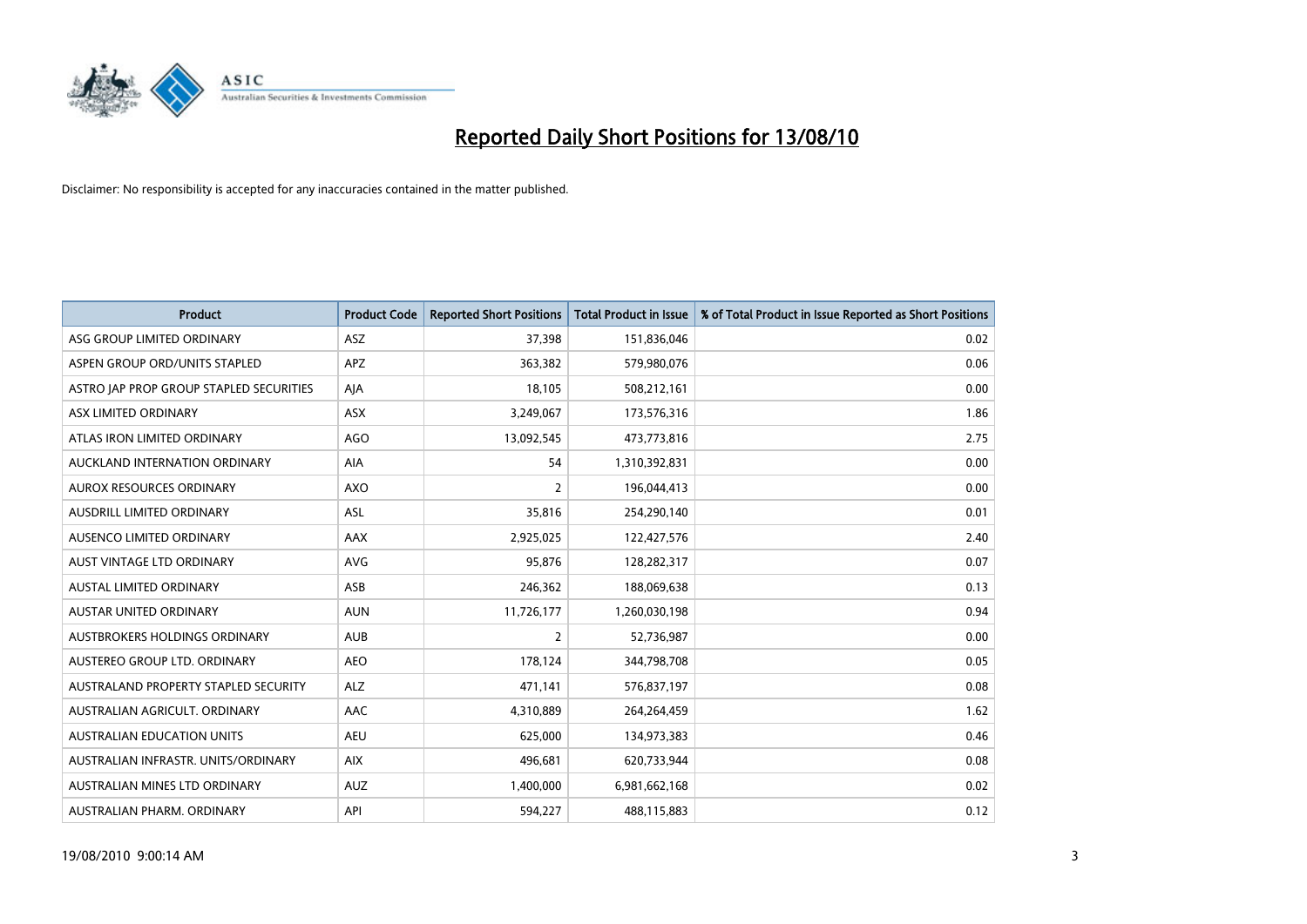

| <b>Product</b>                          | <b>Product Code</b> | <b>Reported Short Positions</b> | Total Product in Issue | % of Total Product in Issue Reported as Short Positions |
|-----------------------------------------|---------------------|---------------------------------|------------------------|---------------------------------------------------------|
| ASG GROUP LIMITED ORDINARY              | <b>ASZ</b>          | 37,398                          | 151,836,046            | 0.02                                                    |
| ASPEN GROUP ORD/UNITS STAPLED           | <b>APZ</b>          | 363,382                         | 579,980,076            | 0.06                                                    |
| ASTRO JAP PROP GROUP STAPLED SECURITIES | AJA                 | 18.105                          | 508,212,161            | 0.00                                                    |
| ASX LIMITED ORDINARY                    | ASX                 | 3,249,067                       | 173,576,316            | 1.86                                                    |
| ATLAS IRON LIMITED ORDINARY             | <b>AGO</b>          | 13,092,545                      | 473,773,816            | 2.75                                                    |
| AUCKLAND INTERNATION ORDINARY           | <b>AIA</b>          | 54                              | 1,310,392,831          | 0.00                                                    |
| <b>AUROX RESOURCES ORDINARY</b>         | <b>AXO</b>          | 2                               | 196,044,413            | 0.00                                                    |
| AUSDRILL LIMITED ORDINARY               | <b>ASL</b>          | 35,816                          | 254,290,140            | 0.01                                                    |
| AUSENCO LIMITED ORDINARY                | <b>AAX</b>          | 2,925,025                       | 122,427,576            | 2.40                                                    |
| AUST VINTAGE LTD ORDINARY               | <b>AVG</b>          | 95,876                          | 128,282,317            | 0.07                                                    |
| AUSTAL LIMITED ORDINARY                 | ASB                 | 246,362                         | 188,069,638            | 0.13                                                    |
| <b>AUSTAR UNITED ORDINARY</b>           | <b>AUN</b>          | 11,726,177                      | 1,260,030,198          | 0.94                                                    |
| AUSTBROKERS HOLDINGS ORDINARY           | <b>AUB</b>          | $\overline{2}$                  | 52,736,987             | 0.00                                                    |
| AUSTEREO GROUP LTD. ORDINARY            | <b>AEO</b>          | 178,124                         | 344,798,708            | 0.05                                                    |
| AUSTRALAND PROPERTY STAPLED SECURITY    | <b>ALZ</b>          | 471,141                         | 576,837,197            | 0.08                                                    |
| AUSTRALIAN AGRICULT. ORDINARY           | AAC                 | 4,310,889                       | 264,264,459            | 1.62                                                    |
| AUSTRALIAN EDUCATION UNITS              | <b>AEU</b>          | 625,000                         | 134,973,383            | 0.46                                                    |
| AUSTRALIAN INFRASTR. UNITS/ORDINARY     | <b>AIX</b>          | 496,681                         | 620,733,944            | 0.08                                                    |
| AUSTRALIAN MINES LTD ORDINARY           | <b>AUZ</b>          | 1,400,000                       | 6,981,662,168          | 0.02                                                    |
| AUSTRALIAN PHARM. ORDINARY              | API                 | 594,227                         | 488,115,883            | 0.12                                                    |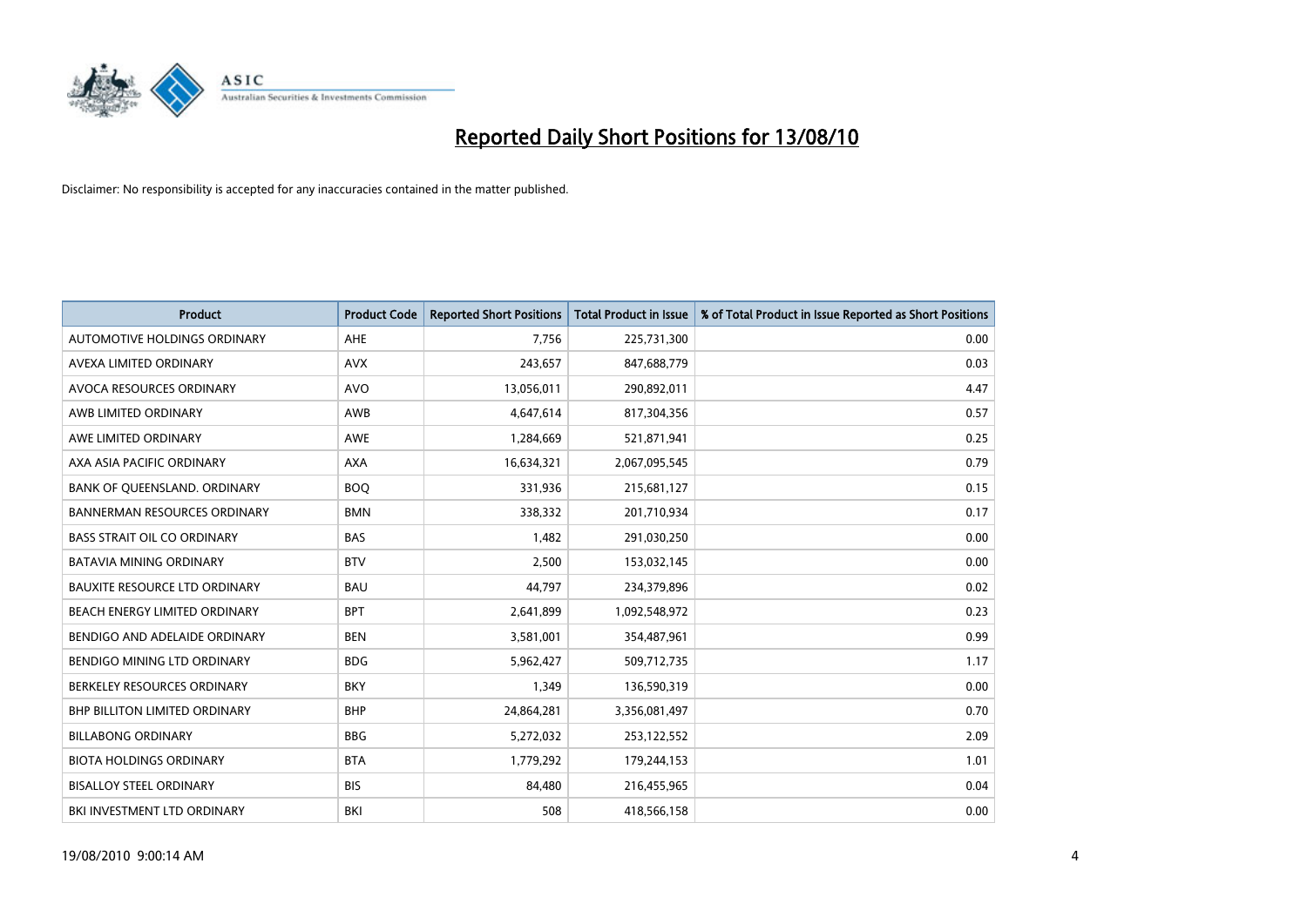

| <b>Product</b>                       | <b>Product Code</b> | <b>Reported Short Positions</b> | <b>Total Product in Issue</b> | % of Total Product in Issue Reported as Short Positions |
|--------------------------------------|---------------------|---------------------------------|-------------------------------|---------------------------------------------------------|
| AUTOMOTIVE HOLDINGS ORDINARY         | <b>AHE</b>          | 7,756                           | 225,731,300                   | 0.00                                                    |
| AVEXA LIMITED ORDINARY               | <b>AVX</b>          | 243,657                         | 847,688,779                   | 0.03                                                    |
| AVOCA RESOURCES ORDINARY             | <b>AVO</b>          | 13,056,011                      | 290,892,011                   | 4.47                                                    |
| AWB LIMITED ORDINARY                 | AWB                 | 4,647,614                       | 817,304,356                   | 0.57                                                    |
| AWE LIMITED ORDINARY                 | <b>AWE</b>          | 1,284,669                       | 521,871,941                   | 0.25                                                    |
| AXA ASIA PACIFIC ORDINARY            | <b>AXA</b>          | 16,634,321                      | 2,067,095,545                 | 0.79                                                    |
| BANK OF QUEENSLAND. ORDINARY         | <b>BOO</b>          | 331,936                         | 215,681,127                   | 0.15                                                    |
| <b>BANNERMAN RESOURCES ORDINARY</b>  | <b>BMN</b>          | 338,332                         | 201,710,934                   | 0.17                                                    |
| <b>BASS STRAIT OIL CO ORDINARY</b>   | <b>BAS</b>          | 1,482                           | 291,030,250                   | 0.00                                                    |
| <b>BATAVIA MINING ORDINARY</b>       | <b>BTV</b>          | 2,500                           | 153,032,145                   | 0.00                                                    |
| <b>BAUXITE RESOURCE LTD ORDINARY</b> | <b>BAU</b>          | 44,797                          | 234,379,896                   | 0.02                                                    |
| BEACH ENERGY LIMITED ORDINARY        | <b>BPT</b>          | 2,641,899                       | 1,092,548,972                 | 0.23                                                    |
| BENDIGO AND ADELAIDE ORDINARY        | <b>BEN</b>          | 3,581,001                       | 354,487,961                   | 0.99                                                    |
| BENDIGO MINING LTD ORDINARY          | <b>BDG</b>          | 5,962,427                       | 509,712,735                   | 1.17                                                    |
| BERKELEY RESOURCES ORDINARY          | <b>BKY</b>          | 1,349                           | 136,590,319                   | 0.00                                                    |
| <b>BHP BILLITON LIMITED ORDINARY</b> | <b>BHP</b>          | 24,864,281                      | 3,356,081,497                 | 0.70                                                    |
| <b>BILLABONG ORDINARY</b>            | <b>BBG</b>          | 5,272,032                       | 253,122,552                   | 2.09                                                    |
| <b>BIOTA HOLDINGS ORDINARY</b>       | <b>BTA</b>          | 1,779,292                       | 179,244,153                   | 1.01                                                    |
| <b>BISALLOY STEEL ORDINARY</b>       | <b>BIS</b>          | 84,480                          | 216,455,965                   | 0.04                                                    |
| BKI INVESTMENT LTD ORDINARY          | <b>BKI</b>          | 508                             | 418,566,158                   | 0.00                                                    |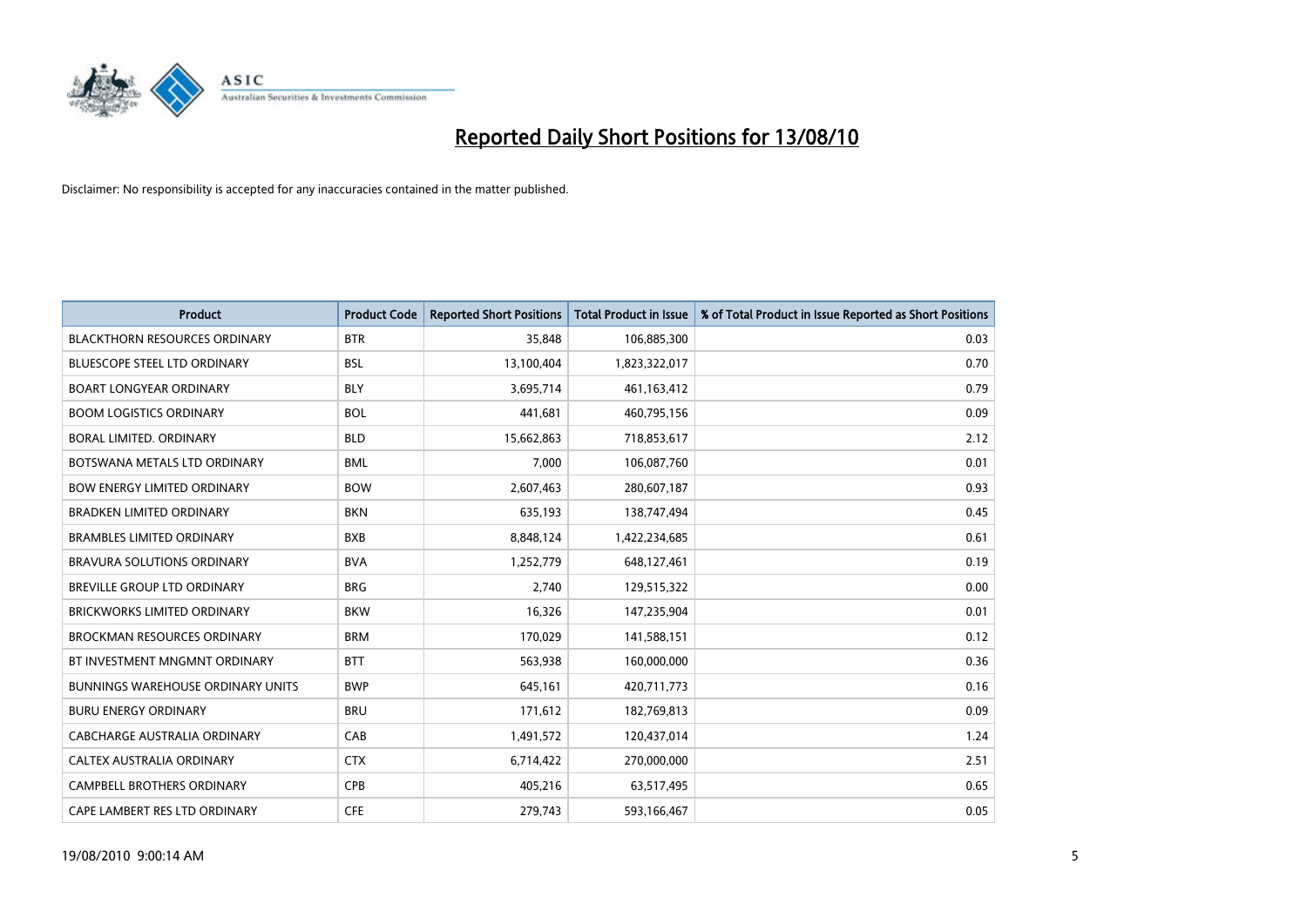

| <b>Product</b>                           | <b>Product Code</b> | <b>Reported Short Positions</b> | <b>Total Product in Issue</b> | % of Total Product in Issue Reported as Short Positions |
|------------------------------------------|---------------------|---------------------------------|-------------------------------|---------------------------------------------------------|
| <b>BLACKTHORN RESOURCES ORDINARY</b>     | <b>BTR</b>          | 35,848                          | 106,885,300                   | 0.03                                                    |
| BLUESCOPE STEEL LTD ORDINARY             | <b>BSL</b>          | 13,100,404                      | 1,823,322,017                 | 0.70                                                    |
| <b>BOART LONGYEAR ORDINARY</b>           | <b>BLY</b>          | 3,695,714                       | 461, 163, 412                 | 0.79                                                    |
| <b>BOOM LOGISTICS ORDINARY</b>           | <b>BOL</b>          | 441,681                         | 460,795,156                   | 0.09                                                    |
| <b>BORAL LIMITED, ORDINARY</b>           | <b>BLD</b>          | 15,662,863                      | 718,853,617                   | 2.12                                                    |
| BOTSWANA METALS LTD ORDINARY             | <b>BML</b>          | 7,000                           | 106,087,760                   | 0.01                                                    |
| <b>BOW ENERGY LIMITED ORDINARY</b>       | <b>BOW</b>          | 2,607,463                       | 280,607,187                   | 0.93                                                    |
| <b>BRADKEN LIMITED ORDINARY</b>          | <b>BKN</b>          | 635,193                         | 138,747,494                   | 0.45                                                    |
| <b>BRAMBLES LIMITED ORDINARY</b>         | <b>BXB</b>          | 8,848,124                       | 1,422,234,685                 | 0.61                                                    |
| <b>BRAVURA SOLUTIONS ORDINARY</b>        | <b>BVA</b>          | 1,252,779                       | 648,127,461                   | 0.19                                                    |
| BREVILLE GROUP LTD ORDINARY              | <b>BRG</b>          | 2,740                           | 129,515,322                   | 0.00                                                    |
| <b>BRICKWORKS LIMITED ORDINARY</b>       | <b>BKW</b>          | 16,326                          | 147,235,904                   | 0.01                                                    |
| <b>BROCKMAN RESOURCES ORDINARY</b>       | <b>BRM</b>          | 170,029                         | 141,588,151                   | 0.12                                                    |
| BT INVESTMENT MNGMNT ORDINARY            | <b>BTT</b>          | 563,938                         | 160,000,000                   | 0.36                                                    |
| <b>BUNNINGS WAREHOUSE ORDINARY UNITS</b> | <b>BWP</b>          | 645,161                         | 420,711,773                   | 0.16                                                    |
| <b>BURU ENERGY ORDINARY</b>              | <b>BRU</b>          | 171,612                         | 182,769,813                   | 0.09                                                    |
| CABCHARGE AUSTRALIA ORDINARY             | CAB                 | 1,491,572                       | 120,437,014                   | 1.24                                                    |
| CALTEX AUSTRALIA ORDINARY                | <b>CTX</b>          | 6,714,422                       | 270,000,000                   | 2.51                                                    |
| CAMPBELL BROTHERS ORDINARY               | CPB                 | 405,216                         | 63,517,495                    | 0.65                                                    |
| CAPE LAMBERT RES LTD ORDINARY            | <b>CFE</b>          | 279.743                         | 593,166,467                   | 0.05                                                    |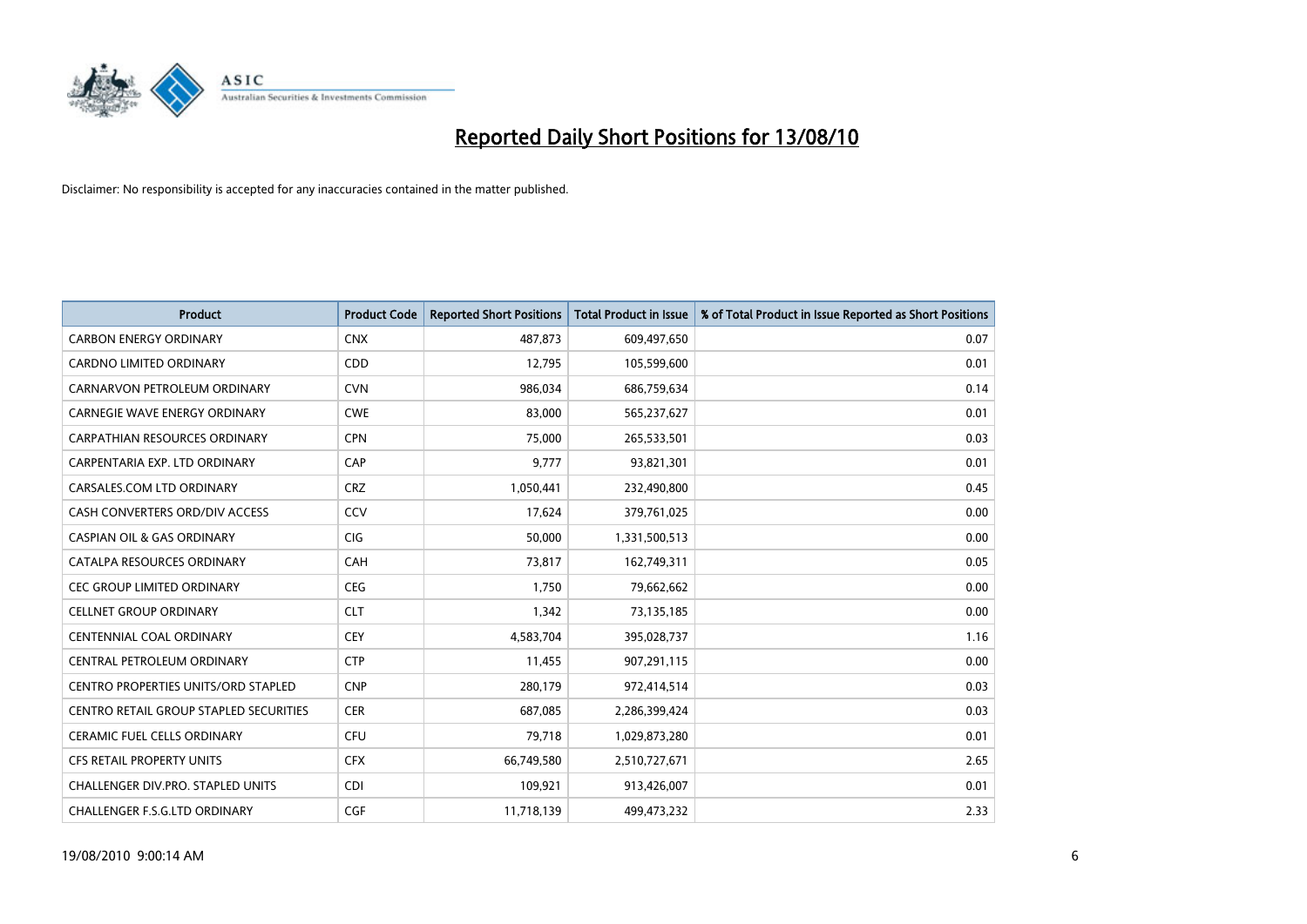

| <b>Product</b>                             | <b>Product Code</b> | <b>Reported Short Positions</b> | Total Product in Issue | % of Total Product in Issue Reported as Short Positions |
|--------------------------------------------|---------------------|---------------------------------|------------------------|---------------------------------------------------------|
| <b>CARBON ENERGY ORDINARY</b>              | <b>CNX</b>          | 487,873                         | 609,497,650            | 0.07                                                    |
| CARDNO LIMITED ORDINARY                    | CDD                 | 12,795                          | 105,599,600            | 0.01                                                    |
| CARNARVON PETROLEUM ORDINARY               | <b>CVN</b>          | 986,034                         | 686,759,634            | 0.14                                                    |
| CARNEGIE WAVE ENERGY ORDINARY              | <b>CWE</b>          | 83,000                          | 565,237,627            | 0.01                                                    |
| <b>CARPATHIAN RESOURCES ORDINARY</b>       | <b>CPN</b>          | 75,000                          | 265,533,501            | 0.03                                                    |
| CARPENTARIA EXP. LTD ORDINARY              | CAP                 | 9,777                           | 93,821,301             | 0.01                                                    |
| CARSALES.COM LTD ORDINARY                  | <b>CRZ</b>          | 1,050,441                       | 232,490,800            | 0.45                                                    |
| CASH CONVERTERS ORD/DIV ACCESS             | CCV                 | 17,624                          | 379,761,025            | 0.00                                                    |
| <b>CASPIAN OIL &amp; GAS ORDINARY</b>      | CIG                 | 50,000                          | 1,331,500,513          | 0.00                                                    |
| CATALPA RESOURCES ORDINARY                 | <b>CAH</b>          | 73,817                          | 162,749,311            | 0.05                                                    |
| <b>CEC GROUP LIMITED ORDINARY</b>          | <b>CEG</b>          | 1,750                           | 79,662,662             | 0.00                                                    |
| <b>CELLNET GROUP ORDINARY</b>              | <b>CLT</b>          | 1,342                           | 73,135,185             | 0.00                                                    |
| CENTENNIAL COAL ORDINARY                   | CEY                 | 4,583,704                       | 395,028,737            | 1.16                                                    |
| CENTRAL PETROLEUM ORDINARY                 | <b>CTP</b>          | 11,455                          | 907,291,115            | 0.00                                                    |
| <b>CENTRO PROPERTIES UNITS/ORD STAPLED</b> | <b>CNP</b>          | 280,179                         | 972,414,514            | 0.03                                                    |
| CENTRO RETAIL GROUP STAPLED SECURITIES     | <b>CER</b>          | 687,085                         | 2,286,399,424          | 0.03                                                    |
| <b>CERAMIC FUEL CELLS ORDINARY</b>         | <b>CFU</b>          | 79,718                          | 1,029,873,280          | 0.01                                                    |
| <b>CFS RETAIL PROPERTY UNITS</b>           | <b>CFX</b>          | 66,749,580                      | 2,510,727,671          | 2.65                                                    |
| <b>CHALLENGER DIV.PRO. STAPLED UNITS</b>   | <b>CDI</b>          | 109,921                         | 913,426,007            | 0.01                                                    |
| CHALLENGER F.S.G.LTD ORDINARY              | CGF                 | 11,718,139                      | 499.473.232            | 2.33                                                    |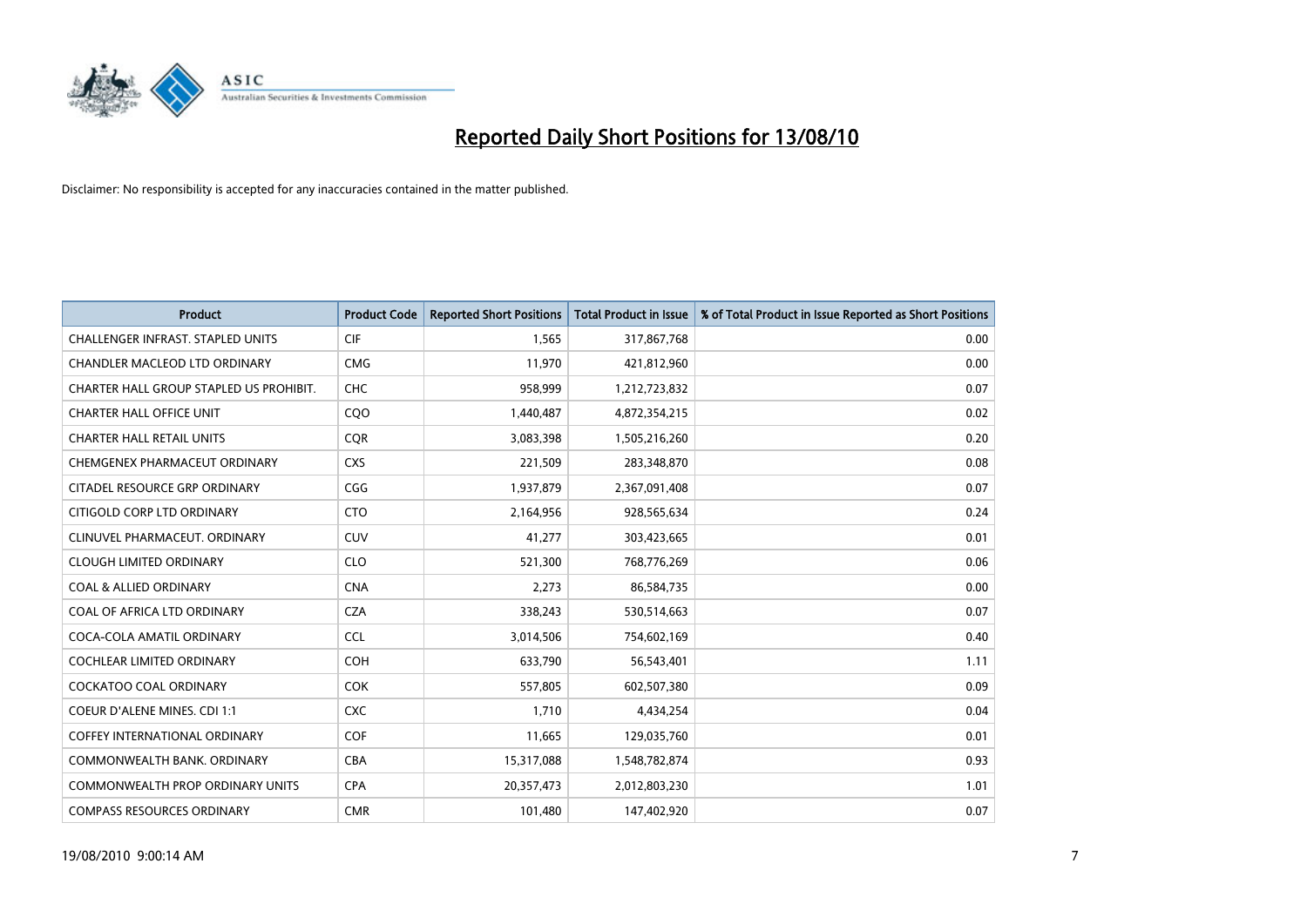

| <b>Product</b>                           | <b>Product Code</b> | <b>Reported Short Positions</b> | <b>Total Product in Issue</b> | % of Total Product in Issue Reported as Short Positions |
|------------------------------------------|---------------------|---------------------------------|-------------------------------|---------------------------------------------------------|
| <b>CHALLENGER INFRAST, STAPLED UNITS</b> | <b>CIF</b>          | 1,565                           | 317,867,768                   | 0.00                                                    |
| CHANDLER MACLEOD LTD ORDINARY            | <b>CMG</b>          | 11,970                          | 421,812,960                   | 0.00                                                    |
| CHARTER HALL GROUP STAPLED US PROHIBIT.  | <b>CHC</b>          | 958.999                         | 1,212,723,832                 | 0.07                                                    |
| <b>CHARTER HALL OFFICE UNIT</b>          | CQO                 | 1,440,487                       | 4,872,354,215                 | 0.02                                                    |
| <b>CHARTER HALL RETAIL UNITS</b>         | <b>COR</b>          | 3,083,398                       | 1,505,216,260                 | 0.20                                                    |
| CHEMGENEX PHARMACEUT ORDINARY            | <b>CXS</b>          | 221,509                         | 283,348,870                   | 0.08                                                    |
| CITADEL RESOURCE GRP ORDINARY            | CGG                 | 1,937,879                       | 2,367,091,408                 | 0.07                                                    |
| CITIGOLD CORP LTD ORDINARY               | <b>CTO</b>          | 2,164,956                       | 928,565,634                   | 0.24                                                    |
| CLINUVEL PHARMACEUT, ORDINARY            | CUV                 | 41,277                          | 303,423,665                   | 0.01                                                    |
| <b>CLOUGH LIMITED ORDINARY</b>           | <b>CLO</b>          | 521,300                         | 768,776,269                   | 0.06                                                    |
| <b>COAL &amp; ALLIED ORDINARY</b>        | <b>CNA</b>          | 2,273                           | 86,584,735                    | 0.00                                                    |
| COAL OF AFRICA LTD ORDINARY              | <b>CZA</b>          | 338,243                         | 530,514,663                   | 0.07                                                    |
| COCA-COLA AMATIL ORDINARY                | <b>CCL</b>          | 3,014,506                       | 754,602,169                   | 0.40                                                    |
| COCHLEAR LIMITED ORDINARY                | <b>COH</b>          | 633,790                         | 56,543,401                    | 1.11                                                    |
| <b>COCKATOO COAL ORDINARY</b>            | <b>COK</b>          | 557,805                         | 602,507,380                   | 0.09                                                    |
| COEUR D'ALENE MINES. CDI 1:1             | <b>CXC</b>          | 1,710                           | 4,434,254                     | 0.04                                                    |
| COFFEY INTERNATIONAL ORDINARY            | <b>COF</b>          | 11,665                          | 129,035,760                   | 0.01                                                    |
| COMMONWEALTH BANK, ORDINARY              | <b>CBA</b>          | 15,317,088                      | 1,548,782,874                 | 0.93                                                    |
| <b>COMMONWEALTH PROP ORDINARY UNITS</b>  | <b>CPA</b>          | 20,357,473                      | 2,012,803,230                 | 1.01                                                    |
| <b>COMPASS RESOURCES ORDINARY</b>        | <b>CMR</b>          | 101,480                         | 147,402,920                   | 0.07                                                    |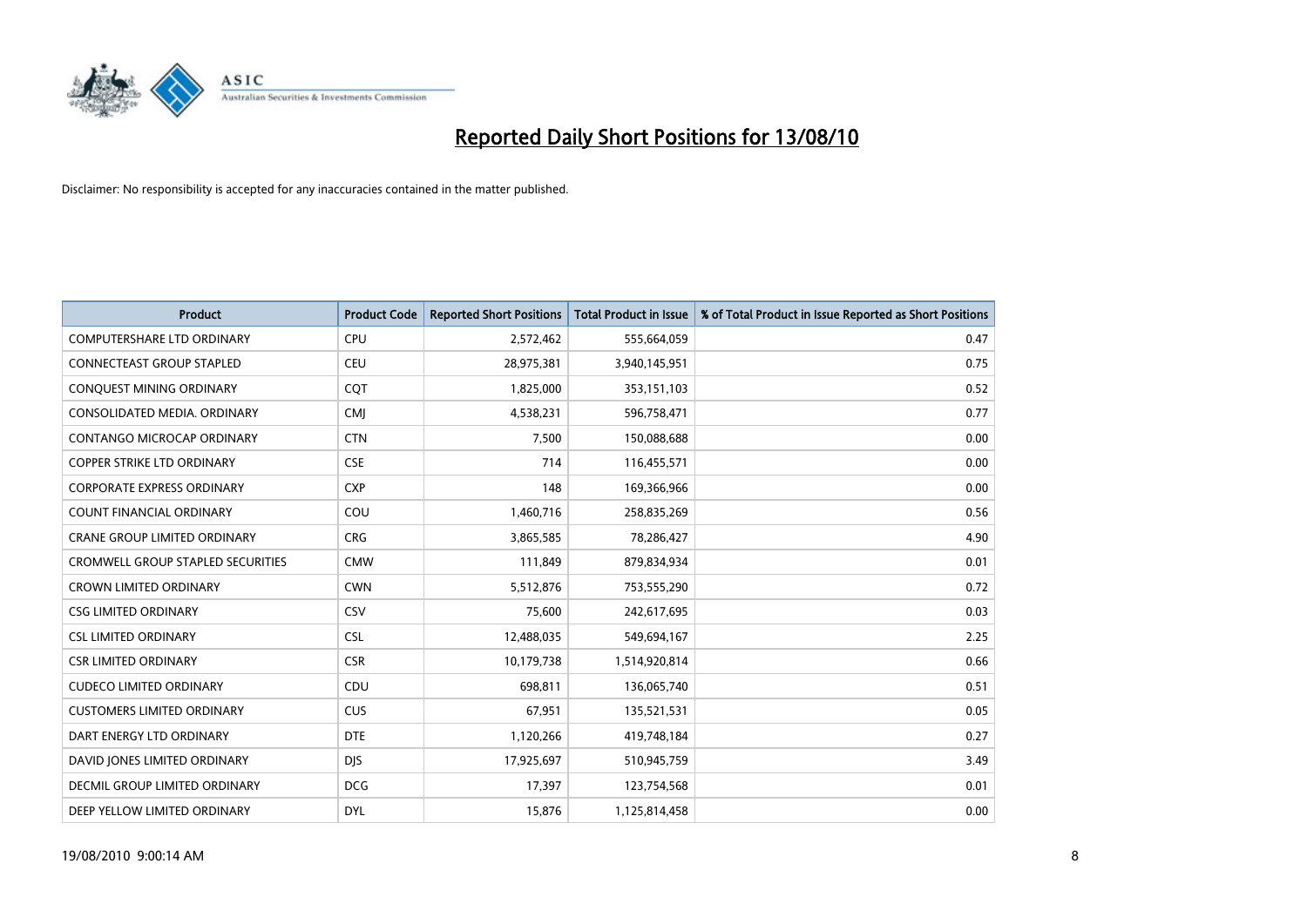

| <b>Product</b>                           | <b>Product Code</b> | <b>Reported Short Positions</b> | Total Product in Issue | % of Total Product in Issue Reported as Short Positions |
|------------------------------------------|---------------------|---------------------------------|------------------------|---------------------------------------------------------|
| <b>COMPUTERSHARE LTD ORDINARY</b>        | <b>CPU</b>          | 2,572,462                       | 555,664,059            | 0.47                                                    |
| CONNECTEAST GROUP STAPLED                | CEU                 | 28,975,381                      | 3,940,145,951          | 0.75                                                    |
| CONQUEST MINING ORDINARY                 | CQT                 | 1,825,000                       | 353,151,103            | 0.52                                                    |
| CONSOLIDATED MEDIA. ORDINARY             | <b>CMJ</b>          | 4,538,231                       | 596,758,471            | 0.77                                                    |
| CONTANGO MICROCAP ORDINARY               | <b>CTN</b>          | 7,500                           | 150,088,688            | 0.00                                                    |
| <b>COPPER STRIKE LTD ORDINARY</b>        | <b>CSE</b>          | 714                             | 116,455,571            | 0.00                                                    |
| <b>CORPORATE EXPRESS ORDINARY</b>        | <b>CXP</b>          | 148                             | 169,366,966            | 0.00                                                    |
| <b>COUNT FINANCIAL ORDINARY</b>          | COU                 | 1,460,716                       | 258,835,269            | 0.56                                                    |
| CRANE GROUP LIMITED ORDINARY             | <b>CRG</b>          | 3,865,585                       | 78,286,427             | 4.90                                                    |
| <b>CROMWELL GROUP STAPLED SECURITIES</b> | <b>CMW</b>          | 111,849                         | 879,834,934            | 0.01                                                    |
| <b>CROWN LIMITED ORDINARY</b>            | <b>CWN</b>          | 5,512,876                       | 753,555,290            | 0.72                                                    |
| <b>CSG LIMITED ORDINARY</b>              | CSV                 | 75,600                          | 242,617,695            | 0.03                                                    |
| <b>CSL LIMITED ORDINARY</b>              | <b>CSL</b>          | 12,488,035                      | 549,694,167            | 2.25                                                    |
| <b>CSR LIMITED ORDINARY</b>              | <b>CSR</b>          | 10,179,738                      | 1,514,920,814          | 0.66                                                    |
| <b>CUDECO LIMITED ORDINARY</b>           | CDU                 | 698,811                         | 136,065,740            | 0.51                                                    |
| <b>CUSTOMERS LIMITED ORDINARY</b>        | CUS                 | 67,951                          | 135,521,531            | 0.05                                                    |
| DART ENERGY LTD ORDINARY                 | <b>DTE</b>          | 1,120,266                       | 419,748,184            | 0.27                                                    |
| DAVID JONES LIMITED ORDINARY             | <b>DJS</b>          | 17,925,697                      | 510,945,759            | 3.49                                                    |
| DECMIL GROUP LIMITED ORDINARY            | <b>DCG</b>          | 17,397                          | 123,754,568            | 0.01                                                    |
| DEEP YELLOW LIMITED ORDINARY             | <b>DYL</b>          | 15,876                          | 1,125,814,458          | 0.00                                                    |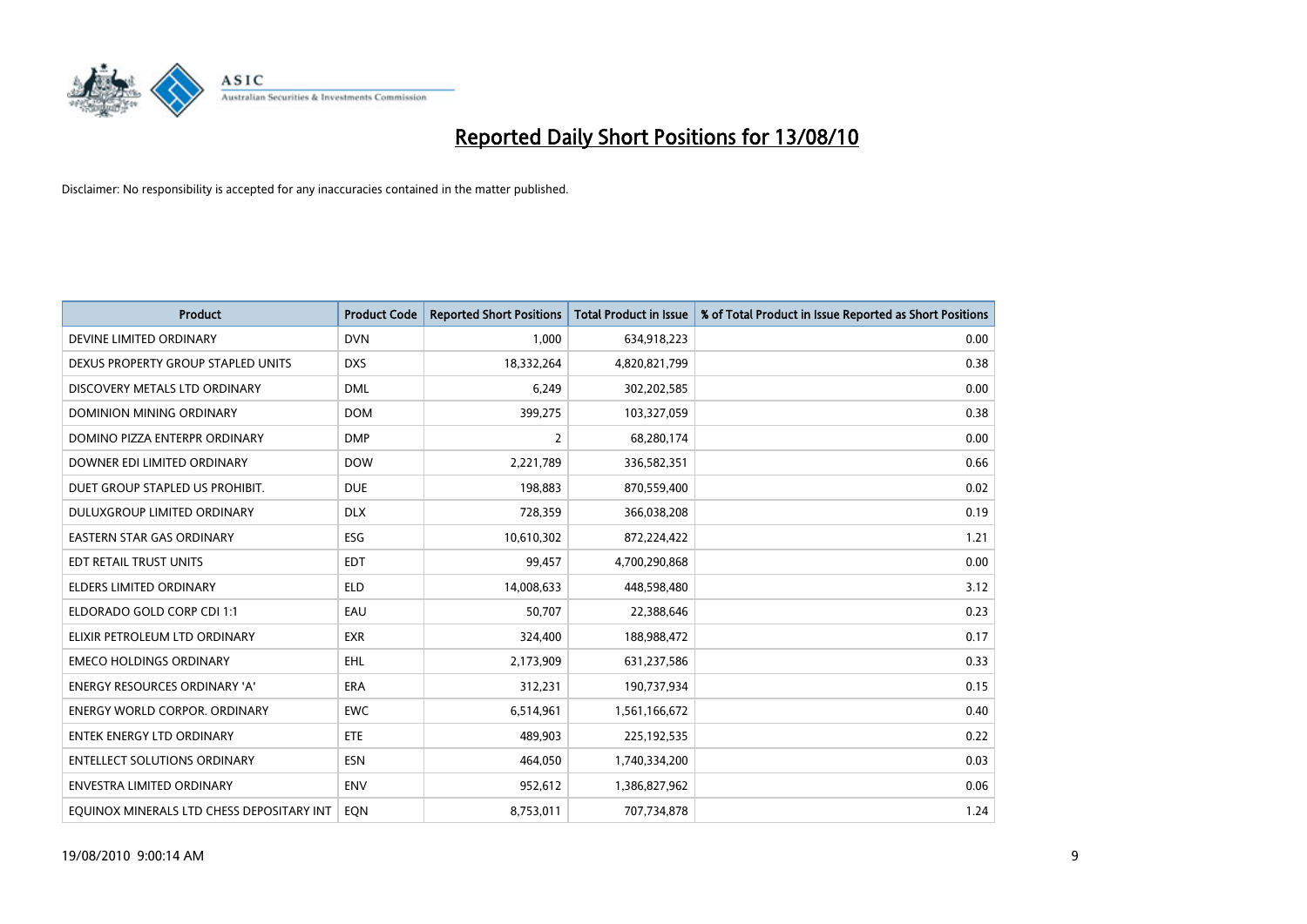

| <b>Product</b>                            | <b>Product Code</b> | <b>Reported Short Positions</b> | <b>Total Product in Issue</b> | % of Total Product in Issue Reported as Short Positions |
|-------------------------------------------|---------------------|---------------------------------|-------------------------------|---------------------------------------------------------|
| DEVINE LIMITED ORDINARY                   | <b>DVN</b>          | 1,000                           | 634,918,223                   | 0.00                                                    |
| DEXUS PROPERTY GROUP STAPLED UNITS        | <b>DXS</b>          | 18,332,264                      | 4,820,821,799                 | 0.38                                                    |
| DISCOVERY METALS LTD ORDINARY             | <b>DML</b>          | 6,249                           | 302,202,585                   | 0.00                                                    |
| DOMINION MINING ORDINARY                  | <b>DOM</b>          | 399,275                         | 103,327,059                   | 0.38                                                    |
| DOMINO PIZZA ENTERPR ORDINARY             | <b>DMP</b>          | $\overline{2}$                  | 68,280,174                    | 0.00                                                    |
| DOWNER EDI LIMITED ORDINARY               | <b>DOW</b>          | 2,221,789                       | 336,582,351                   | 0.66                                                    |
| DUET GROUP STAPLED US PROHIBIT.           | <b>DUE</b>          | 198.883                         | 870,559,400                   | 0.02                                                    |
| DULUXGROUP LIMITED ORDINARY               | <b>DLX</b>          | 728,359                         | 366,038,208                   | 0.19                                                    |
| <b>EASTERN STAR GAS ORDINARY</b>          | ESG                 | 10,610,302                      | 872,224,422                   | 1.21                                                    |
| EDT RETAIL TRUST UNITS                    | <b>EDT</b>          | 99,457                          | 4,700,290,868                 | 0.00                                                    |
| <b>ELDERS LIMITED ORDINARY</b>            | <b>ELD</b>          | 14,008,633                      | 448,598,480                   | 3.12                                                    |
| ELDORADO GOLD CORP CDI 1:1                | EAU                 | 50,707                          | 22,388,646                    | 0.23                                                    |
| ELIXIR PETROLEUM LTD ORDINARY             | <b>EXR</b>          | 324,400                         | 188,988,472                   | 0.17                                                    |
| <b>EMECO HOLDINGS ORDINARY</b>            | <b>EHL</b>          | 2,173,909                       | 631,237,586                   | 0.33                                                    |
| ENERGY RESOURCES ORDINARY 'A'             | <b>ERA</b>          | 312,231                         | 190,737,934                   | 0.15                                                    |
| <b>ENERGY WORLD CORPOR, ORDINARY</b>      | <b>EWC</b>          | 6,514,961                       | 1,561,166,672                 | 0.40                                                    |
| <b>ENTEK ENERGY LTD ORDINARY</b>          | ETE                 | 489,903                         | 225,192,535                   | 0.22                                                    |
| <b>ENTELLECT SOLUTIONS ORDINARY</b>       | <b>ESN</b>          | 464,050                         | 1,740,334,200                 | 0.03                                                    |
| <b>ENVESTRA LIMITED ORDINARY</b>          | ENV                 | 952,612                         | 1,386,827,962                 | 0.06                                                    |
| EQUINOX MINERALS LTD CHESS DEPOSITARY INT | <b>EON</b>          | 8,753,011                       | 707,734,878                   | 1.24                                                    |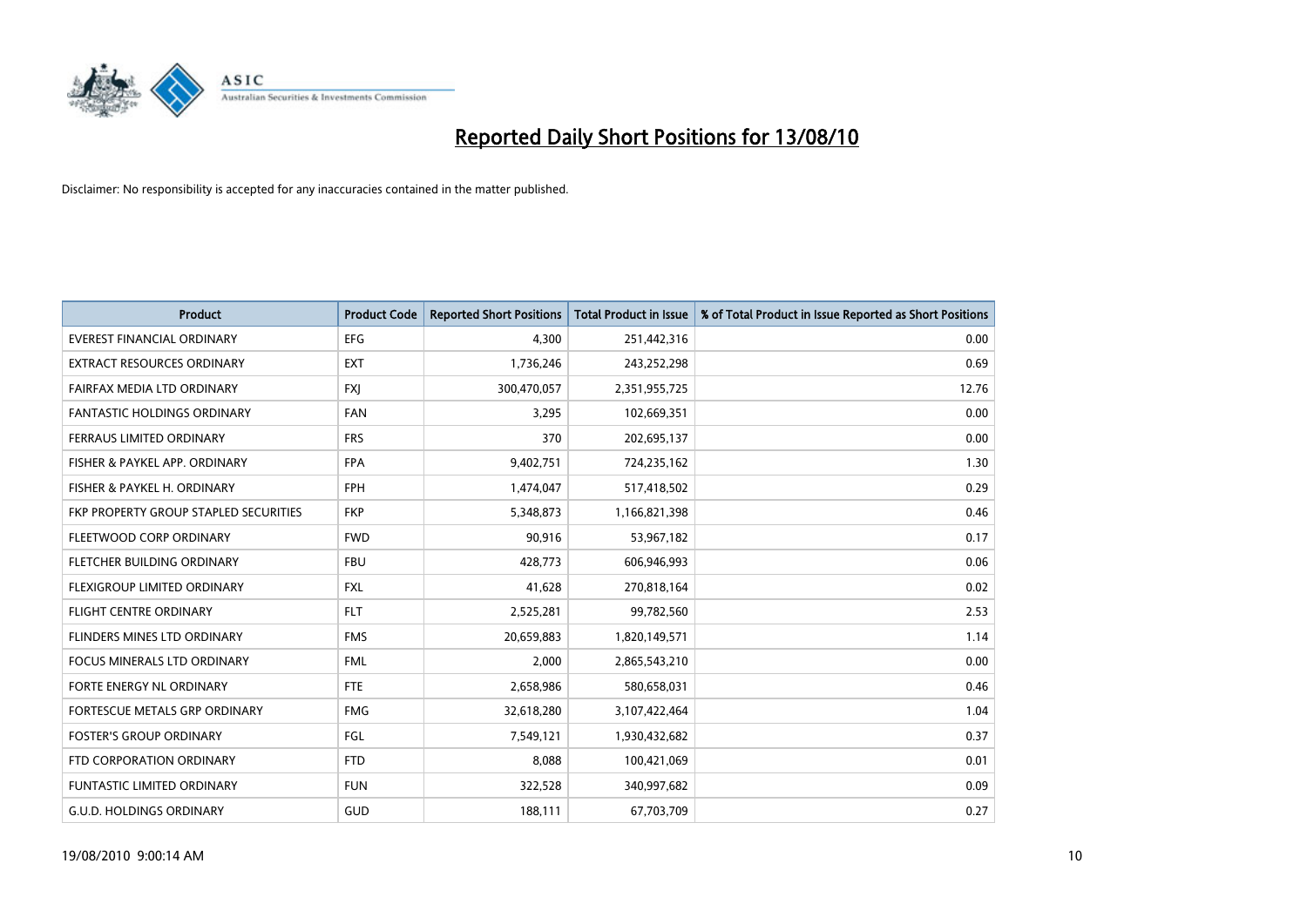

| <b>Product</b>                        | <b>Product Code</b> | <b>Reported Short Positions</b> | <b>Total Product in Issue</b> | % of Total Product in Issue Reported as Short Positions |
|---------------------------------------|---------------------|---------------------------------|-------------------------------|---------------------------------------------------------|
| <b>EVEREST FINANCIAL ORDINARY</b>     | <b>EFG</b>          | 4.300                           | 251,442,316                   | 0.00                                                    |
| EXTRACT RESOURCES ORDINARY            | <b>EXT</b>          | 1,736,246                       | 243,252,298                   | 0.69                                                    |
| FAIRFAX MEDIA LTD ORDINARY            | <b>FXI</b>          | 300,470,057                     | 2,351,955,725                 | 12.76                                                   |
| <b>FANTASTIC HOLDINGS ORDINARY</b>    | <b>FAN</b>          | 3,295                           | 102,669,351                   | 0.00                                                    |
| FERRAUS LIMITED ORDINARY              | <b>FRS</b>          | 370                             | 202,695,137                   | 0.00                                                    |
| FISHER & PAYKEL APP. ORDINARY         | <b>FPA</b>          | 9,402,751                       | 724,235,162                   | 1.30                                                    |
| FISHER & PAYKEL H. ORDINARY           | <b>FPH</b>          | 1,474,047                       | 517,418,502                   | 0.29                                                    |
| FKP PROPERTY GROUP STAPLED SECURITIES | <b>FKP</b>          | 5,348,873                       | 1,166,821,398                 | 0.46                                                    |
| FLEETWOOD CORP ORDINARY               | <b>FWD</b>          | 90,916                          | 53,967,182                    | 0.17                                                    |
| FLETCHER BUILDING ORDINARY            | <b>FBU</b>          | 428,773                         | 606,946,993                   | 0.06                                                    |
| FLEXIGROUP LIMITED ORDINARY           | <b>FXL</b>          | 41,628                          | 270,818,164                   | 0.02                                                    |
| <b>FLIGHT CENTRE ORDINARY</b>         | <b>FLT</b>          | 2,525,281                       | 99,782,560                    | 2.53                                                    |
| FLINDERS MINES LTD ORDINARY           | <b>FMS</b>          | 20,659,883                      | 1,820,149,571                 | 1.14                                                    |
| <b>FOCUS MINERALS LTD ORDINARY</b>    | <b>FML</b>          | 2,000                           | 2,865,543,210                 | 0.00                                                    |
| FORTE ENERGY NL ORDINARY              | <b>FTE</b>          | 2,658,986                       | 580,658,031                   | 0.46                                                    |
| FORTESCUE METALS GRP ORDINARY         | <b>FMG</b>          | 32,618,280                      | 3,107,422,464                 | 1.04                                                    |
| <b>FOSTER'S GROUP ORDINARY</b>        | FGL                 | 7,549,121                       | 1,930,432,682                 | 0.37                                                    |
| FTD CORPORATION ORDINARY              | <b>FTD</b>          | 8,088                           | 100,421,069                   | 0.01                                                    |
| FUNTASTIC LIMITED ORDINARY            | <b>FUN</b>          | 322,528                         | 340,997,682                   | 0.09                                                    |
| <b>G.U.D. HOLDINGS ORDINARY</b>       | GUD                 | 188,111                         | 67,703,709                    | 0.27                                                    |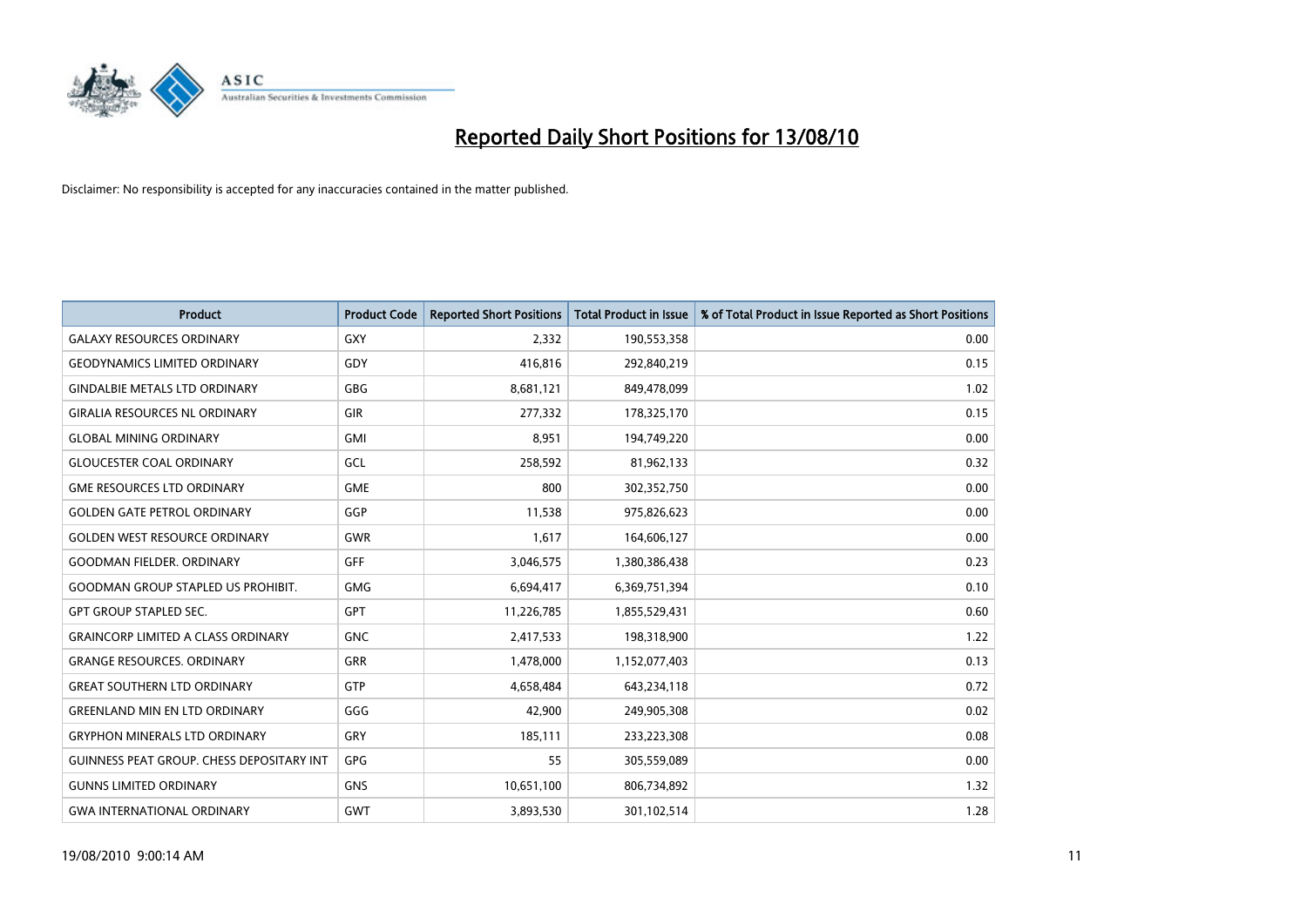

| <b>Product</b>                            | <b>Product Code</b> | <b>Reported Short Positions</b> | <b>Total Product in Issue</b> | % of Total Product in Issue Reported as Short Positions |
|-------------------------------------------|---------------------|---------------------------------|-------------------------------|---------------------------------------------------------|
| <b>GALAXY RESOURCES ORDINARY</b>          | <b>GXY</b>          | 2,332                           | 190,553,358                   | 0.00                                                    |
| <b>GEODYNAMICS LIMITED ORDINARY</b>       | GDY                 | 416,816                         | 292,840,219                   | 0.15                                                    |
| <b>GINDALBIE METALS LTD ORDINARY</b>      | <b>GBG</b>          | 8,681,121                       | 849,478,099                   | 1.02                                                    |
| <b>GIRALIA RESOURCES NL ORDINARY</b>      | <b>GIR</b>          | 277,332                         | 178,325,170                   | 0.15                                                    |
| <b>GLOBAL MINING ORDINARY</b>             | <b>GMI</b>          | 8,951                           | 194,749,220                   | 0.00                                                    |
| <b>GLOUCESTER COAL ORDINARY</b>           | <b>GCL</b>          | 258,592                         | 81,962,133                    | 0.32                                                    |
| <b>GME RESOURCES LTD ORDINARY</b>         | <b>GME</b>          | 800                             | 302,352,750                   | 0.00                                                    |
| <b>GOLDEN GATE PETROL ORDINARY</b>        | GGP                 | 11,538                          | 975,826,623                   | 0.00                                                    |
| <b>GOLDEN WEST RESOURCE ORDINARY</b>      | <b>GWR</b>          | 1,617                           | 164,606,127                   | 0.00                                                    |
| <b>GOODMAN FIELDER, ORDINARY</b>          | <b>GFF</b>          | 3,046,575                       | 1,380,386,438                 | 0.23                                                    |
| <b>GOODMAN GROUP STAPLED US PROHIBIT.</b> | <b>GMG</b>          | 6,694,417                       | 6,369,751,394                 | 0.10                                                    |
| <b>GPT GROUP STAPLED SEC.</b>             | <b>GPT</b>          | 11,226,785                      | 1,855,529,431                 | 0.60                                                    |
| <b>GRAINCORP LIMITED A CLASS ORDINARY</b> | <b>GNC</b>          | 2,417,533                       | 198,318,900                   | 1.22                                                    |
| <b>GRANGE RESOURCES, ORDINARY</b>         | GRR                 | 1,478,000                       | 1,152,077,403                 | 0.13                                                    |
| <b>GREAT SOUTHERN LTD ORDINARY</b>        | <b>GTP</b>          | 4,658,484                       | 643,234,118                   | 0.72                                                    |
| <b>GREENLAND MIN EN LTD ORDINARY</b>      | GGG                 | 42,900                          | 249,905,308                   | 0.02                                                    |
| <b>GRYPHON MINERALS LTD ORDINARY</b>      | GRY                 | 185,111                         | 233,223,308                   | 0.08                                                    |
| GUINNESS PEAT GROUP. CHESS DEPOSITARY INT | <b>GPG</b>          | 55                              | 305,559,089                   | 0.00                                                    |
| <b>GUNNS LIMITED ORDINARY</b>             | <b>GNS</b>          | 10,651,100                      | 806,734,892                   | 1.32                                                    |
| <b>GWA INTERNATIONAL ORDINARY</b>         | <b>GWT</b>          | 3,893,530                       | 301,102,514                   | 1.28                                                    |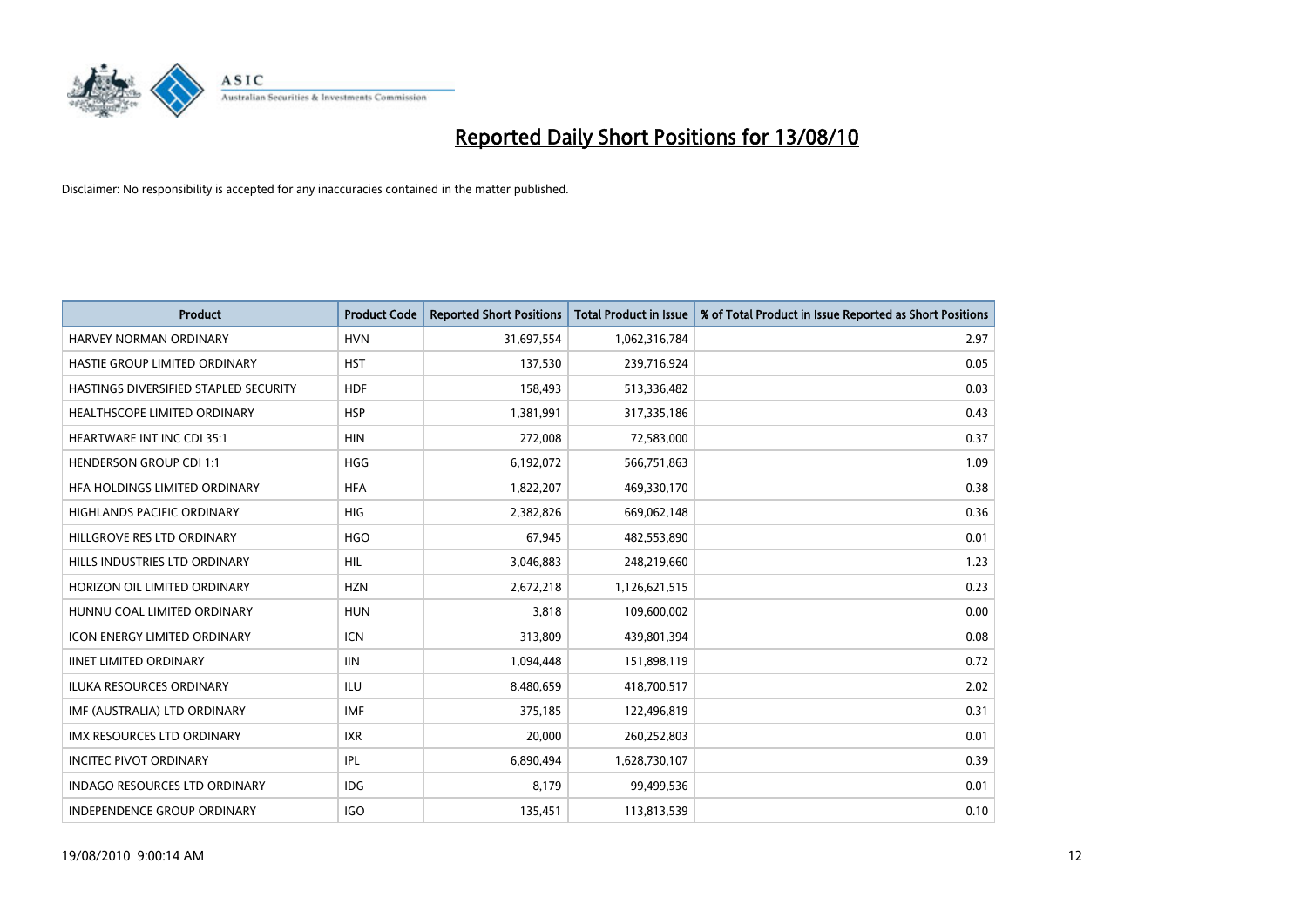

| <b>Product</b>                        | <b>Product Code</b> | <b>Reported Short Positions</b> | <b>Total Product in Issue</b> | % of Total Product in Issue Reported as Short Positions |
|---------------------------------------|---------------------|---------------------------------|-------------------------------|---------------------------------------------------------|
| <b>HARVEY NORMAN ORDINARY</b>         | <b>HVN</b>          | 31,697,554                      | 1,062,316,784                 | 2.97                                                    |
| HASTIE GROUP LIMITED ORDINARY         | <b>HST</b>          | 137,530                         | 239,716,924                   | 0.05                                                    |
| HASTINGS DIVERSIFIED STAPLED SECURITY | <b>HDF</b>          | 158,493                         | 513,336,482                   | 0.03                                                    |
| HEALTHSCOPE LIMITED ORDINARY          | <b>HSP</b>          | 1,381,991                       | 317,335,186                   | 0.43                                                    |
| <b>HEARTWARE INT INC CDI 35:1</b>     | <b>HIN</b>          | 272,008                         | 72,583,000                    | 0.37                                                    |
| <b>HENDERSON GROUP CDI 1:1</b>        | <b>HGG</b>          | 6,192,072                       | 566,751,863                   | 1.09                                                    |
| HFA HOLDINGS LIMITED ORDINARY         | <b>HFA</b>          | 1,822,207                       | 469,330,170                   | 0.38                                                    |
| <b>HIGHLANDS PACIFIC ORDINARY</b>     | <b>HIG</b>          | 2,382,826                       | 669,062,148                   | 0.36                                                    |
| HILLGROVE RES LTD ORDINARY            | <b>HGO</b>          | 67,945                          | 482,553,890                   | 0.01                                                    |
| HILLS INDUSTRIES LTD ORDINARY         | <b>HIL</b>          | 3,046,883                       | 248,219,660                   | 1.23                                                    |
| HORIZON OIL LIMITED ORDINARY          | <b>HZN</b>          | 2,672,218                       | 1,126,621,515                 | 0.23                                                    |
| HUNNU COAL LIMITED ORDINARY           | <b>HUN</b>          | 3,818                           | 109,600,002                   | 0.00                                                    |
| <b>ICON ENERGY LIMITED ORDINARY</b>   | <b>ICN</b>          | 313,809                         | 439,801,394                   | 0.08                                                    |
| <b>IINET LIMITED ORDINARY</b>         | <b>IIN</b>          | 1,094,448                       | 151,898,119                   | 0.72                                                    |
| <b>ILUKA RESOURCES ORDINARY</b>       | <b>ILU</b>          | 8,480,659                       | 418,700,517                   | 2.02                                                    |
| IMF (AUSTRALIA) LTD ORDINARY          | <b>IMF</b>          | 375.185                         | 122,496,819                   | 0.31                                                    |
| <b>IMX RESOURCES LTD ORDINARY</b>     | <b>IXR</b>          | 20,000                          | 260,252,803                   | 0.01                                                    |
| <b>INCITEC PIVOT ORDINARY</b>         | IPL                 | 6,890,494                       | 1,628,730,107                 | 0.39                                                    |
| <b>INDAGO RESOURCES LTD ORDINARY</b>  | <b>IDG</b>          | 8,179                           | 99,499,536                    | 0.01                                                    |
| INDEPENDENCE GROUP ORDINARY           | <b>IGO</b>          | 135,451                         | 113,813,539                   | 0.10                                                    |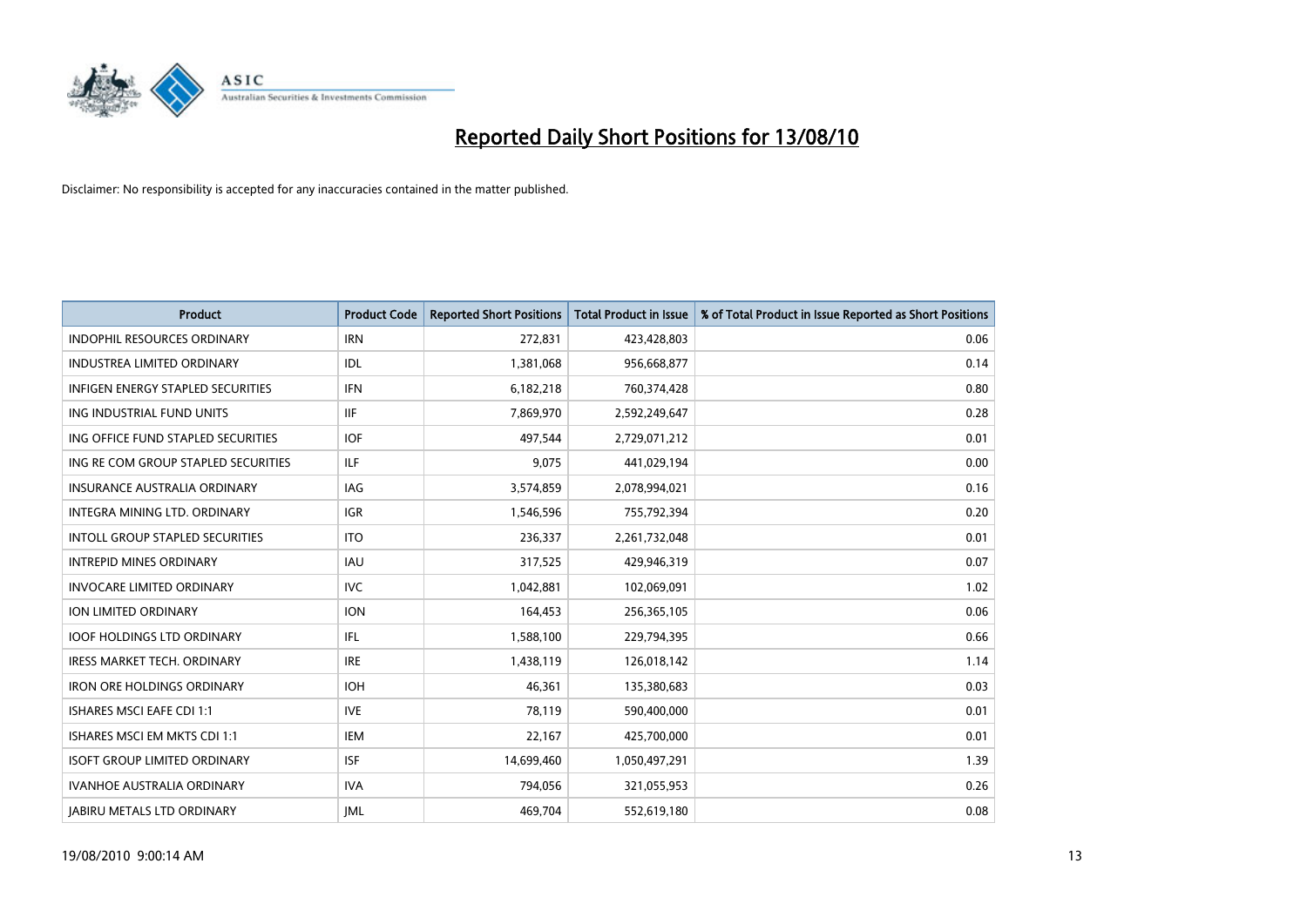

| <b>Product</b>                           | <b>Product Code</b> | <b>Reported Short Positions</b> | <b>Total Product in Issue</b> | % of Total Product in Issue Reported as Short Positions |
|------------------------------------------|---------------------|---------------------------------|-------------------------------|---------------------------------------------------------|
| <b>INDOPHIL RESOURCES ORDINARY</b>       | <b>IRN</b>          | 272,831                         | 423,428,803                   | 0.06                                                    |
| <b>INDUSTREA LIMITED ORDINARY</b>        | <b>IDL</b>          | 1,381,068                       | 956,668,877                   | 0.14                                                    |
| <b>INFIGEN ENERGY STAPLED SECURITIES</b> | <b>IFN</b>          | 6,182,218                       | 760,374,428                   | 0.80                                                    |
| ING INDUSTRIAL FUND UNITS                | <b>IIF</b>          | 7,869,970                       | 2,592,249,647                 | 0.28                                                    |
| ING OFFICE FUND STAPLED SECURITIES       | <b>IOF</b>          | 497,544                         | 2,729,071,212                 | 0.01                                                    |
| ING RE COM GROUP STAPLED SECURITIES      | <b>ILF</b>          | 9,075                           | 441,029,194                   | 0.00                                                    |
| INSURANCE AUSTRALIA ORDINARY             | IAG                 | 3,574,859                       | 2,078,994,021                 | 0.16                                                    |
| <b>INTEGRA MINING LTD, ORDINARY</b>      | <b>IGR</b>          | 1,546,596                       | 755,792,394                   | 0.20                                                    |
| <b>INTOLL GROUP STAPLED SECURITIES</b>   | <b>ITO</b>          | 236,337                         | 2,261,732,048                 | 0.01                                                    |
| <b>INTREPID MINES ORDINARY</b>           | <b>IAU</b>          | 317,525                         | 429,946,319                   | 0.07                                                    |
| <b>INVOCARE LIMITED ORDINARY</b>         | <b>IVC</b>          | 1,042,881                       | 102,069,091                   | 1.02                                                    |
| ION LIMITED ORDINARY                     | <b>ION</b>          | 164,453                         | 256,365,105                   | 0.06                                                    |
| <b>IOOF HOLDINGS LTD ORDINARY</b>        | <b>IFL</b>          | 1,588,100                       | 229,794,395                   | 0.66                                                    |
| <b>IRESS MARKET TECH. ORDINARY</b>       | <b>IRE</b>          | 1,438,119                       | 126,018,142                   | 1.14                                                    |
| <b>IRON ORE HOLDINGS ORDINARY</b>        | <b>IOH</b>          | 46.361                          | 135,380,683                   | 0.03                                                    |
| <b>ISHARES MSCI EAFE CDI 1:1</b>         | <b>IVE</b>          | 78,119                          | 590,400,000                   | 0.01                                                    |
| ISHARES MSCI EM MKTS CDI 1:1             | <b>IEM</b>          | 22,167                          | 425,700,000                   | 0.01                                                    |
| <b>ISOFT GROUP LIMITED ORDINARY</b>      | <b>ISF</b>          | 14,699,460                      | 1,050,497,291                 | 1.39                                                    |
| <b>IVANHOE AUSTRALIA ORDINARY</b>        | <b>IVA</b>          | 794,056                         | 321,055,953                   | 0.26                                                    |
| <b>JABIRU METALS LTD ORDINARY</b>        | <b>IML</b>          | 469,704                         | 552,619,180                   | 0.08                                                    |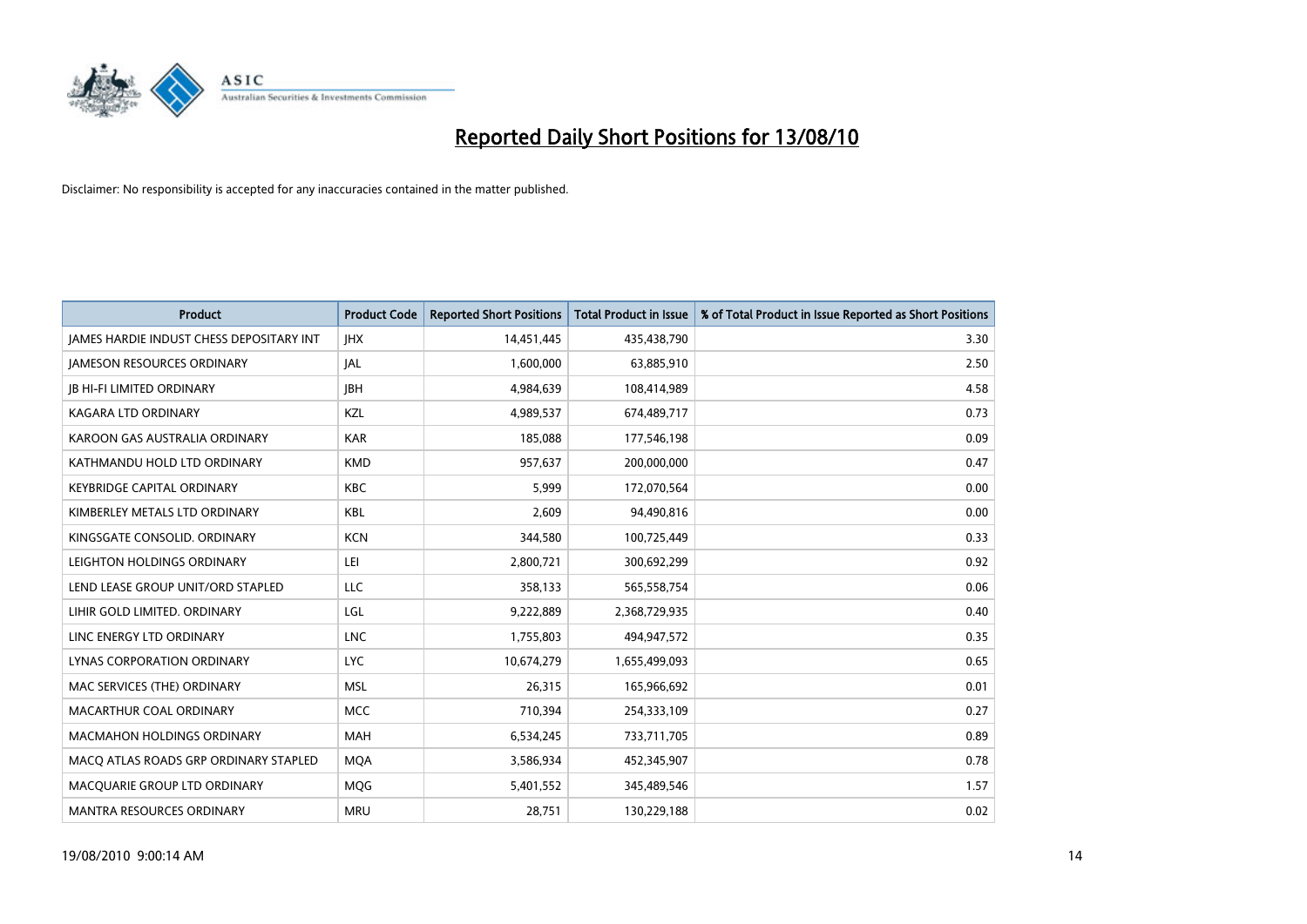

| <b>Product</b>                                  | <b>Product Code</b> | <b>Reported Short Positions</b> | <b>Total Product in Issue</b> | % of Total Product in Issue Reported as Short Positions |
|-------------------------------------------------|---------------------|---------------------------------|-------------------------------|---------------------------------------------------------|
| <b>JAMES HARDIE INDUST CHESS DEPOSITARY INT</b> | <b>IHX</b>          | 14,451,445                      | 435,438,790                   | 3.30                                                    |
| <b>JAMESON RESOURCES ORDINARY</b>               | <b>JAL</b>          | 1,600,000                       | 63,885,910                    | 2.50                                                    |
| <b>JB HI-FI LIMITED ORDINARY</b>                | <b>IBH</b>          | 4,984,639                       | 108,414,989                   | 4.58                                                    |
| KAGARA LTD ORDINARY                             | KZL                 | 4,989,537                       | 674,489,717                   | 0.73                                                    |
| KAROON GAS AUSTRALIA ORDINARY                   | <b>KAR</b>          | 185,088                         | 177,546,198                   | 0.09                                                    |
| KATHMANDU HOLD LTD ORDINARY                     | <b>KMD</b>          | 957,637                         | 200,000,000                   | 0.47                                                    |
| <b>KEYBRIDGE CAPITAL ORDINARY</b>               | <b>KBC</b>          | 5.999                           | 172,070,564                   | 0.00                                                    |
| KIMBERLEY METALS LTD ORDINARY                   | <b>KBL</b>          | 2,609                           | 94,490,816                    | 0.00                                                    |
| KINGSGATE CONSOLID. ORDINARY                    | <b>KCN</b>          | 344,580                         | 100,725,449                   | 0.33                                                    |
| LEIGHTON HOLDINGS ORDINARY                      | LEI                 | 2,800,721                       | 300,692,299                   | 0.92                                                    |
| LEND LEASE GROUP UNIT/ORD STAPLED               | LLC                 | 358,133                         | 565,558,754                   | 0.06                                                    |
| LIHIR GOLD LIMITED. ORDINARY                    | LGL                 | 9,222,889                       | 2,368,729,935                 | 0.40                                                    |
| LINC ENERGY LTD ORDINARY                        | <b>LNC</b>          | 1,755,803                       | 494,947,572                   | 0.35                                                    |
| LYNAS CORPORATION ORDINARY                      | <b>LYC</b>          | 10,674,279                      | 1,655,499,093                 | 0.65                                                    |
| MAC SERVICES (THE) ORDINARY                     | <b>MSL</b>          | 26,315                          | 165,966,692                   | 0.01                                                    |
| MACARTHUR COAL ORDINARY                         | <b>MCC</b>          | 710,394                         | 254,333,109                   | 0.27                                                    |
| <b>MACMAHON HOLDINGS ORDINARY</b>               | <b>MAH</b>          | 6,534,245                       | 733,711,705                   | 0.89                                                    |
| MACQ ATLAS ROADS GRP ORDINARY STAPLED           | <b>MOA</b>          | 3,586,934                       | 452,345,907                   | 0.78                                                    |
| MACOUARIE GROUP LTD ORDINARY                    | <b>MOG</b>          | 5,401,552                       | 345,489,546                   | 1.57                                                    |
| <b>MANTRA RESOURCES ORDINARY</b>                | <b>MRU</b>          | 28.751                          | 130,229,188                   | 0.02                                                    |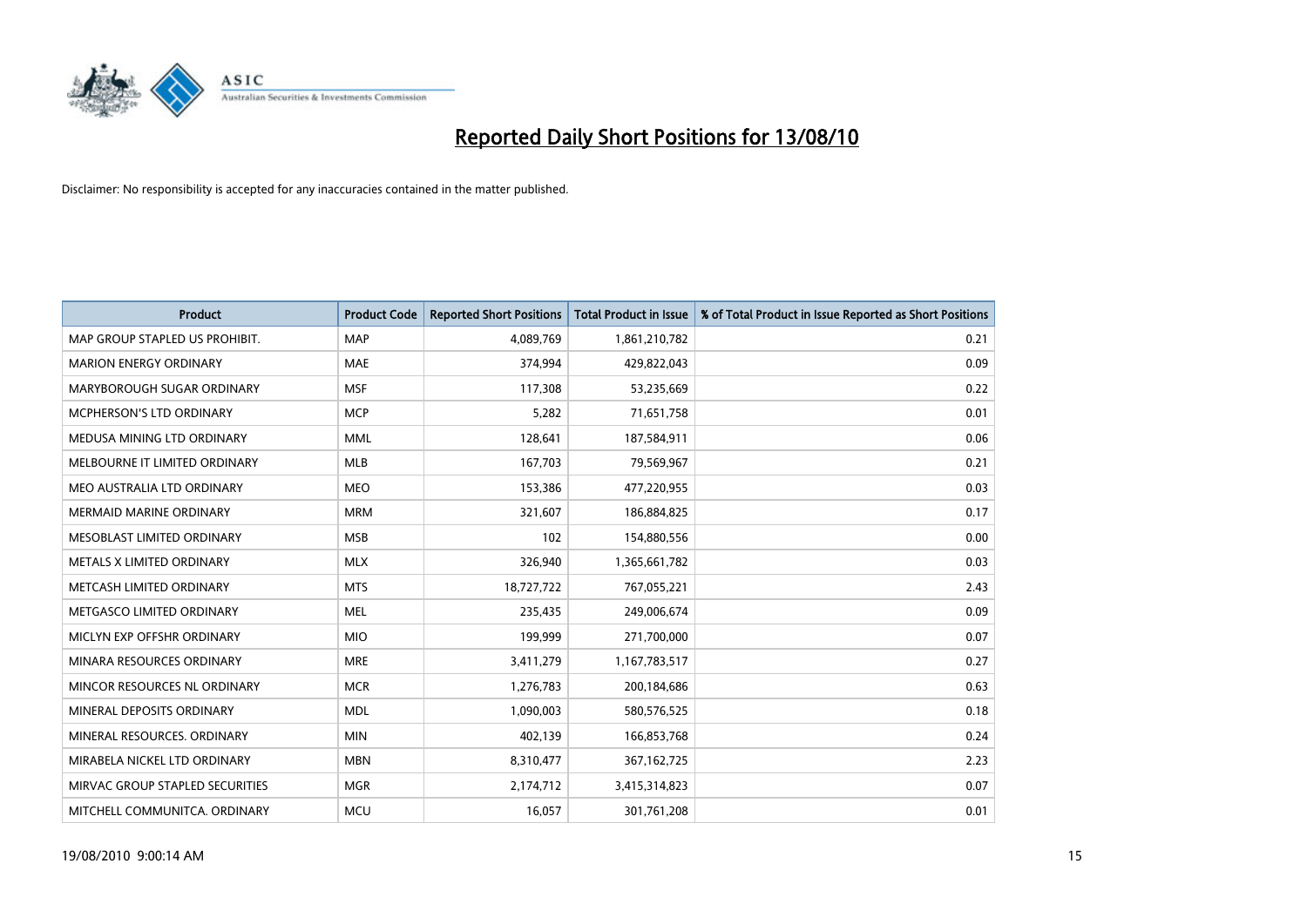

| <b>Product</b>                  | <b>Product Code</b> | <b>Reported Short Positions</b> | <b>Total Product in Issue</b> | % of Total Product in Issue Reported as Short Positions |
|---------------------------------|---------------------|---------------------------------|-------------------------------|---------------------------------------------------------|
| MAP GROUP STAPLED US PROHIBIT.  | <b>MAP</b>          | 4,089,769                       | 1,861,210,782                 | 0.21                                                    |
| <b>MARION ENERGY ORDINARY</b>   | <b>MAE</b>          | 374,994                         | 429,822,043                   | 0.09                                                    |
| MARYBOROUGH SUGAR ORDINARY      | <b>MSF</b>          | 117,308                         | 53,235,669                    | 0.22                                                    |
| MCPHERSON'S LTD ORDINARY        | <b>MCP</b>          | 5,282                           | 71,651,758                    | 0.01                                                    |
| MEDUSA MINING LTD ORDINARY      | <b>MML</b>          | 128,641                         | 187,584,911                   | 0.06                                                    |
| MELBOURNE IT LIMITED ORDINARY   | <b>MLB</b>          | 167,703                         | 79,569,967                    | 0.21                                                    |
| MEO AUSTRALIA LTD ORDINARY      | <b>MEO</b>          | 153,386                         | 477,220,955                   | 0.03                                                    |
| <b>MERMAID MARINE ORDINARY</b>  | <b>MRM</b>          | 321,607                         | 186,884,825                   | 0.17                                                    |
| MESOBLAST LIMITED ORDINARY      | <b>MSB</b>          | 102                             | 154,880,556                   | 0.00                                                    |
| METALS X LIMITED ORDINARY       | <b>MLX</b>          | 326,940                         | 1,365,661,782                 | 0.03                                                    |
| METCASH LIMITED ORDINARY        | <b>MTS</b>          | 18,727,722                      | 767,055,221                   | 2.43                                                    |
| METGASCO LIMITED ORDINARY       | <b>MEL</b>          | 235,435                         | 249,006,674                   | 0.09                                                    |
| MICLYN EXP OFFSHR ORDINARY      | <b>MIO</b>          | 199,999                         | 271,700,000                   | 0.07                                                    |
| MINARA RESOURCES ORDINARY       | <b>MRE</b>          | 3,411,279                       | 1,167,783,517                 | 0.27                                                    |
| MINCOR RESOURCES NL ORDINARY    | <b>MCR</b>          | 1,276,783                       | 200,184,686                   | 0.63                                                    |
| MINERAL DEPOSITS ORDINARY       | <b>MDL</b>          | 1,090,003                       | 580,576,525                   | 0.18                                                    |
| MINERAL RESOURCES. ORDINARY     | <b>MIN</b>          | 402,139                         | 166,853,768                   | 0.24                                                    |
| MIRABELA NICKEL LTD ORDINARY    | <b>MBN</b>          | 8,310,477                       | 367, 162, 725                 | 2.23                                                    |
| MIRVAC GROUP STAPLED SECURITIES | <b>MGR</b>          | 2,174,712                       | 3,415,314,823                 | 0.07                                                    |
| MITCHELL COMMUNITCA. ORDINARY   | <b>MCU</b>          | 16,057                          | 301,761,208                   | 0.01                                                    |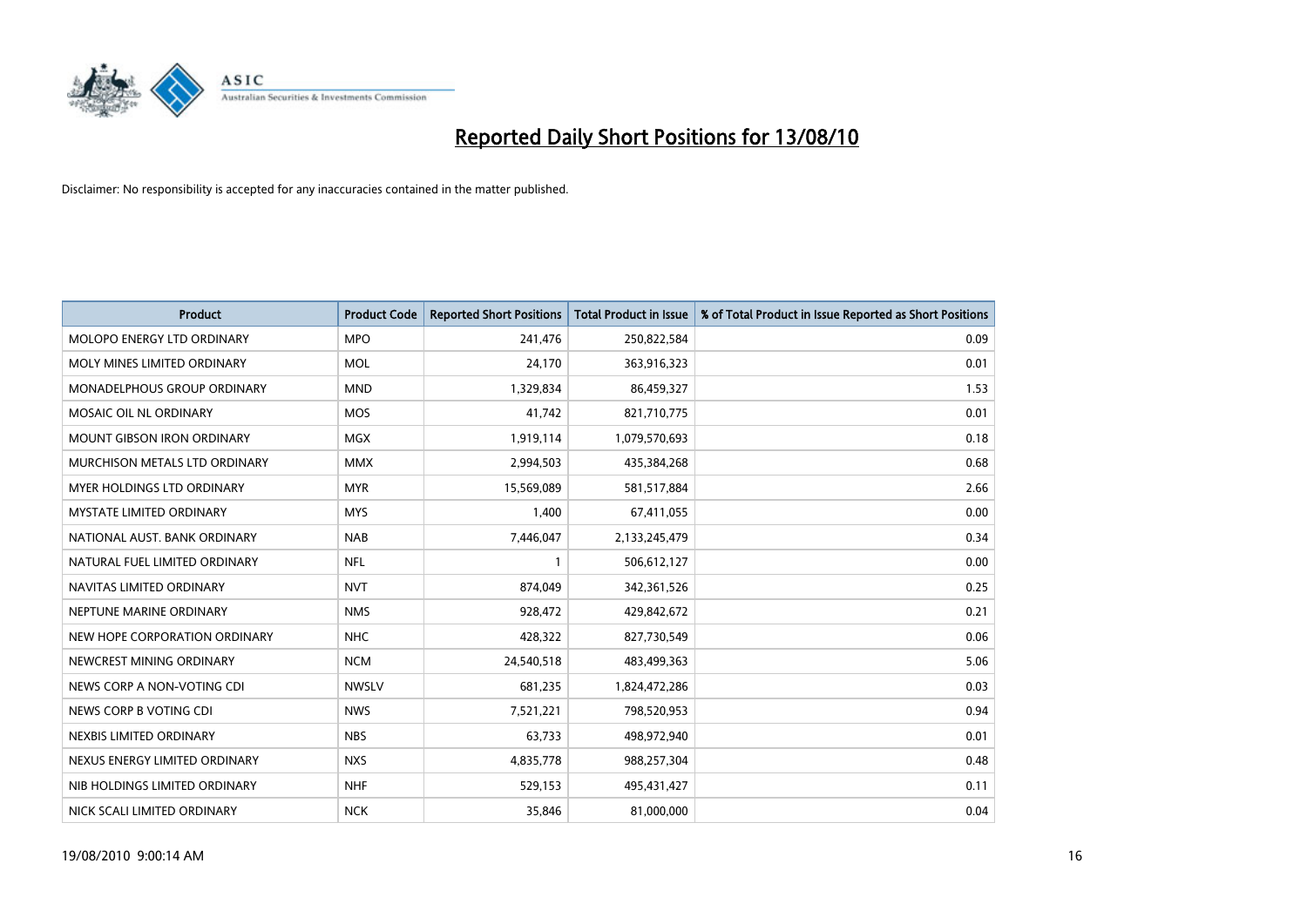

| <b>Product</b>                    | <b>Product Code</b> | <b>Reported Short Positions</b> | Total Product in Issue | % of Total Product in Issue Reported as Short Positions |
|-----------------------------------|---------------------|---------------------------------|------------------------|---------------------------------------------------------|
| <b>MOLOPO ENERGY LTD ORDINARY</b> | <b>MPO</b>          | 241,476                         | 250,822,584            | 0.09                                                    |
| MOLY MINES LIMITED ORDINARY       | <b>MOL</b>          | 24,170                          | 363,916,323            | 0.01                                                    |
| MONADELPHOUS GROUP ORDINARY       | <b>MND</b>          | 1,329,834                       | 86,459,327             | 1.53                                                    |
| MOSAIC OIL NL ORDINARY            | <b>MOS</b>          | 41,742                          | 821,710,775            | 0.01                                                    |
| <b>MOUNT GIBSON IRON ORDINARY</b> | <b>MGX</b>          | 1,919,114                       | 1,079,570,693          | 0.18                                                    |
| MURCHISON METALS LTD ORDINARY     | <b>MMX</b>          | 2,994,503                       | 435,384,268            | 0.68                                                    |
| MYER HOLDINGS LTD ORDINARY        | <b>MYR</b>          | 15,569,089                      | 581,517,884            | 2.66                                                    |
| MYSTATE LIMITED ORDINARY          | <b>MYS</b>          | 1,400                           | 67,411,055             | 0.00                                                    |
| NATIONAL AUST, BANK ORDINARY      | <b>NAB</b>          | 7,446,047                       | 2,133,245,479          | 0.34                                                    |
| NATURAL FUEL LIMITED ORDINARY     | <b>NFL</b>          |                                 | 506,612,127            | 0.00                                                    |
| NAVITAS LIMITED ORDINARY          | <b>NVT</b>          | 874,049                         | 342,361,526            | 0.25                                                    |
| NEPTUNE MARINE ORDINARY           | <b>NMS</b>          | 928,472                         | 429,842,672            | 0.21                                                    |
| NEW HOPE CORPORATION ORDINARY     | <b>NHC</b>          | 428,322                         | 827,730,549            | 0.06                                                    |
| NEWCREST MINING ORDINARY          | <b>NCM</b>          | 24,540,518                      | 483,499,363            | 5.06                                                    |
| NEWS CORP A NON-VOTING CDI        | <b>NWSLV</b>        | 681,235                         | 1,824,472,286          | 0.03                                                    |
| NEWS CORP B VOTING CDI            | <b>NWS</b>          | 7,521,221                       | 798,520,953            | 0.94                                                    |
| NEXBIS LIMITED ORDINARY           | <b>NBS</b>          | 63,733                          | 498,972,940            | 0.01                                                    |
| NEXUS ENERGY LIMITED ORDINARY     | <b>NXS</b>          | 4,835,778                       | 988,257,304            | 0.48                                                    |
| NIB HOLDINGS LIMITED ORDINARY     | <b>NHF</b>          | 529,153                         | 495,431,427            | 0.11                                                    |
| NICK SCALI LIMITED ORDINARY       | <b>NCK</b>          | 35,846                          | 81,000,000             | 0.04                                                    |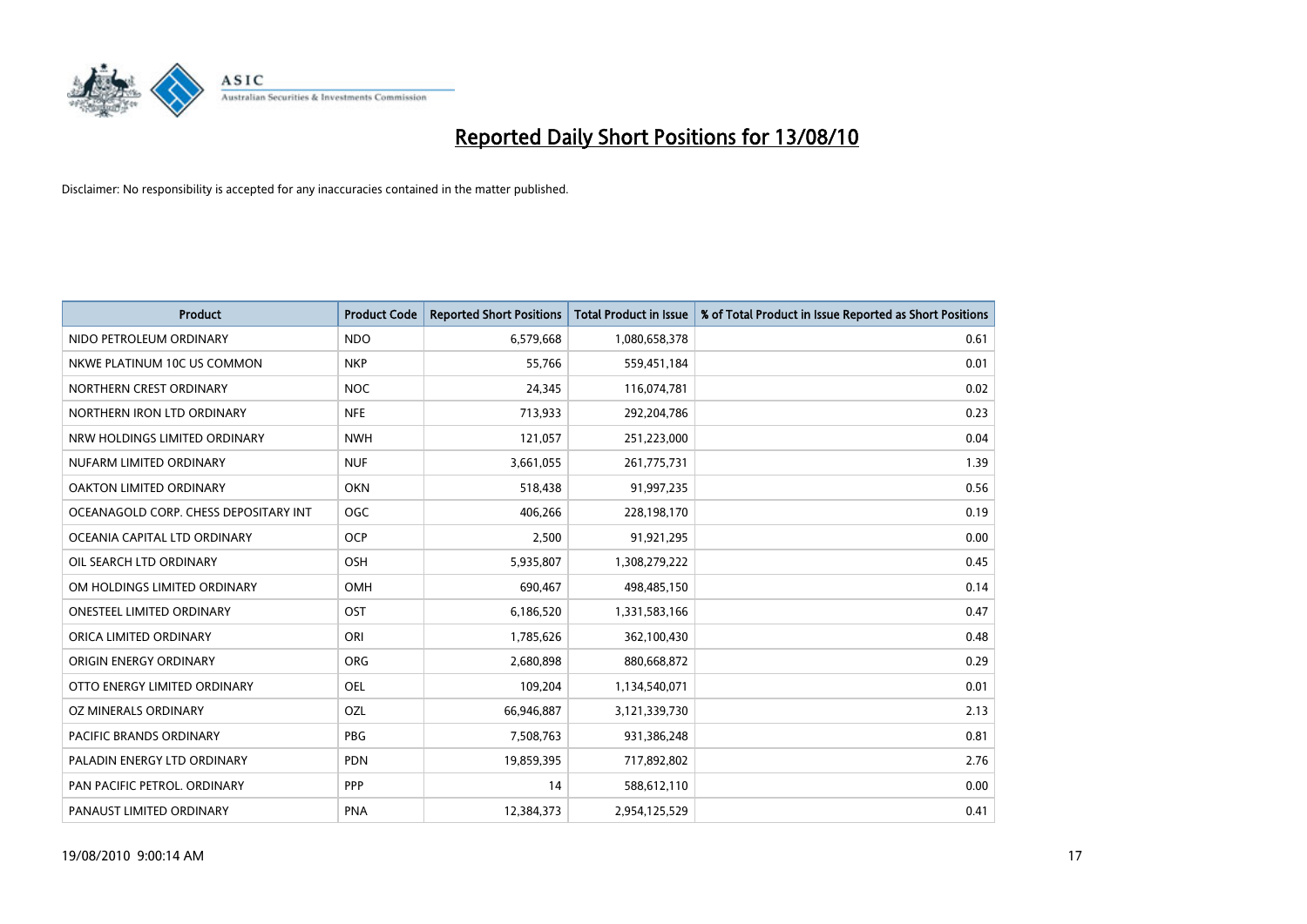

| <b>Product</b>                        | <b>Product Code</b> | <b>Reported Short Positions</b> | <b>Total Product in Issue</b> | % of Total Product in Issue Reported as Short Positions |
|---------------------------------------|---------------------|---------------------------------|-------------------------------|---------------------------------------------------------|
| NIDO PETROLEUM ORDINARY               | <b>NDO</b>          | 6,579,668                       | 1,080,658,378                 | 0.61                                                    |
| NKWE PLATINUM 10C US COMMON           | <b>NKP</b>          | 55,766                          | 559,451,184                   | 0.01                                                    |
| NORTHERN CREST ORDINARY               | <b>NOC</b>          | 24,345                          | 116,074,781                   | 0.02                                                    |
| NORTHERN IRON LTD ORDINARY            | <b>NFE</b>          | 713,933                         | 292,204,786                   | 0.23                                                    |
| NRW HOLDINGS LIMITED ORDINARY         | <b>NWH</b>          | 121,057                         | 251,223,000                   | 0.04                                                    |
| NUFARM LIMITED ORDINARY               | <b>NUF</b>          | 3,661,055                       | 261,775,731                   | 1.39                                                    |
| <b>OAKTON LIMITED ORDINARY</b>        | <b>OKN</b>          | 518,438                         | 91,997,235                    | 0.56                                                    |
| OCEANAGOLD CORP. CHESS DEPOSITARY INT | <b>OGC</b>          | 406,266                         | 228,198,170                   | 0.19                                                    |
| OCEANIA CAPITAL LTD ORDINARY          | <b>OCP</b>          | 2,500                           | 91,921,295                    | 0.00                                                    |
| OIL SEARCH LTD ORDINARY               | OSH                 | 5,935,807                       | 1,308,279,222                 | 0.45                                                    |
| OM HOLDINGS LIMITED ORDINARY          | OMH                 | 690,467                         | 498,485,150                   | 0.14                                                    |
| <b>ONESTEEL LIMITED ORDINARY</b>      | OST                 | 6,186,520                       | 1,331,583,166                 | 0.47                                                    |
| ORICA LIMITED ORDINARY                | ORI                 | 1,785,626                       | 362,100,430                   | 0.48                                                    |
| ORIGIN ENERGY ORDINARY                | <b>ORG</b>          | 2,680,898                       | 880,668,872                   | 0.29                                                    |
| OTTO ENERGY LIMITED ORDINARY          | OEL                 | 109,204                         | 1,134,540,071                 | 0.01                                                    |
| OZ MINERALS ORDINARY                  | OZL                 | 66,946,887                      | 3,121,339,730                 | 2.13                                                    |
| <b>PACIFIC BRANDS ORDINARY</b>        | <b>PBG</b>          | 7,508,763                       | 931,386,248                   | 0.81                                                    |
| PALADIN ENERGY LTD ORDINARY           | <b>PDN</b>          | 19,859,395                      | 717,892,802                   | 2.76                                                    |
| PAN PACIFIC PETROL. ORDINARY          | PPP                 | 14                              | 588,612,110                   | 0.00                                                    |
| PANAUST LIMITED ORDINARY              | <b>PNA</b>          | 12,384,373                      | 2,954,125,529                 | 0.41                                                    |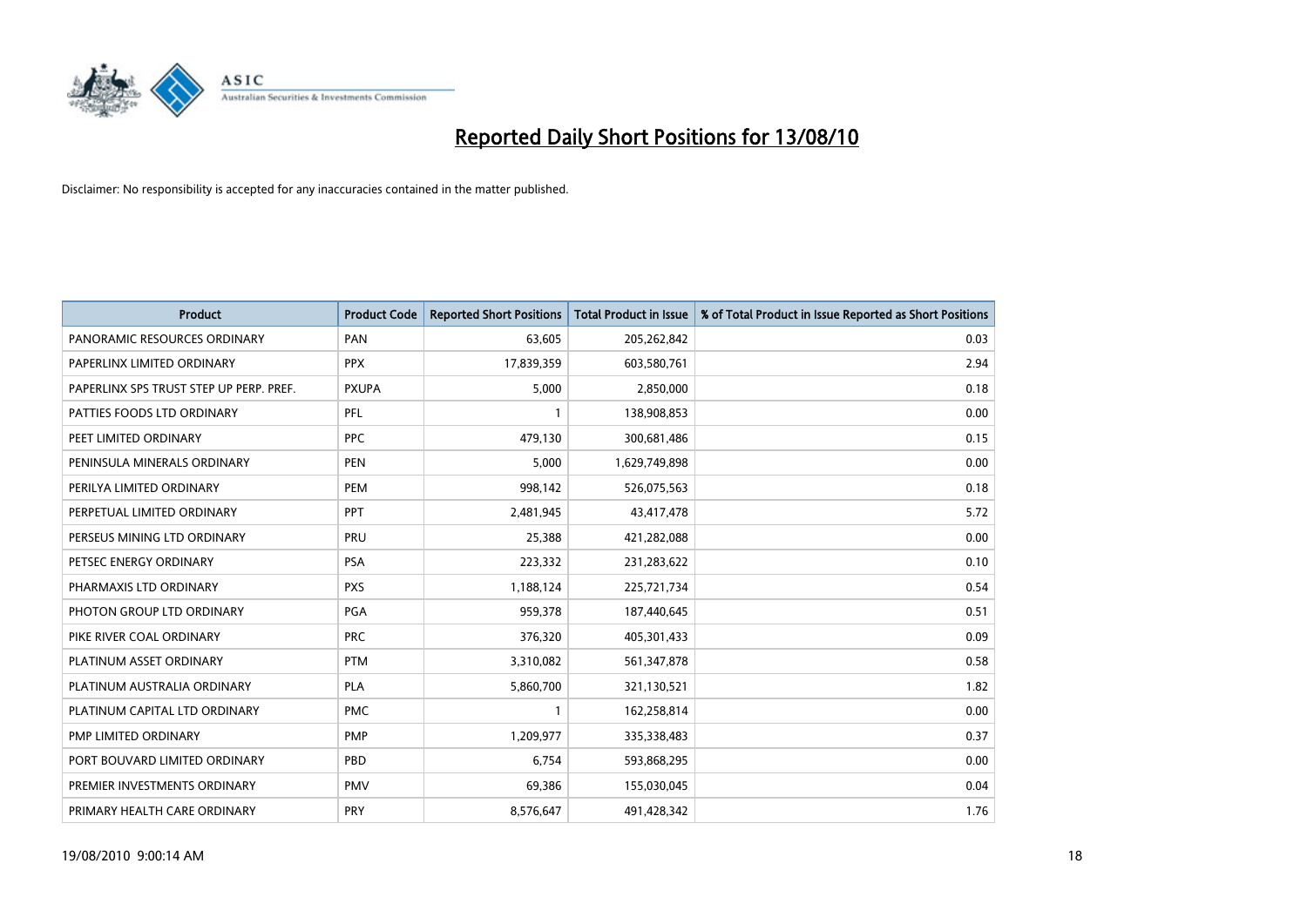

| <b>Product</b>                          | <b>Product Code</b> | <b>Reported Short Positions</b> | <b>Total Product in Issue</b> | % of Total Product in Issue Reported as Short Positions |
|-----------------------------------------|---------------------|---------------------------------|-------------------------------|---------------------------------------------------------|
| PANORAMIC RESOURCES ORDINARY            | PAN                 | 63,605                          | 205,262,842                   | 0.03                                                    |
| PAPERLINX LIMITED ORDINARY              | <b>PPX</b>          | 17,839,359                      | 603,580,761                   | 2.94                                                    |
| PAPERLINX SPS TRUST STEP UP PERP. PREF. | <b>PXUPA</b>        | 5,000                           | 2,850,000                     | 0.18                                                    |
| PATTIES FOODS LTD ORDINARY              | PFL                 |                                 | 138,908,853                   | 0.00                                                    |
| PEET LIMITED ORDINARY                   | <b>PPC</b>          | 479,130                         | 300,681,486                   | 0.15                                                    |
| PENINSULA MINERALS ORDINARY             | <b>PEN</b>          | 5,000                           | 1,629,749,898                 | 0.00                                                    |
| PERILYA LIMITED ORDINARY                | PEM                 | 998,142                         | 526,075,563                   | 0.18                                                    |
| PERPETUAL LIMITED ORDINARY              | PPT                 | 2,481,945                       | 43,417,478                    | 5.72                                                    |
| PERSEUS MINING LTD ORDINARY             | PRU                 | 25,388                          | 421,282,088                   | 0.00                                                    |
| PETSEC ENERGY ORDINARY                  | <b>PSA</b>          | 223,332                         | 231,283,622                   | 0.10                                                    |
| PHARMAXIS LTD ORDINARY                  | <b>PXS</b>          | 1,188,124                       | 225,721,734                   | 0.54                                                    |
| PHOTON GROUP LTD ORDINARY               | PGA                 | 959,378                         | 187,440,645                   | 0.51                                                    |
| PIKE RIVER COAL ORDINARY                | <b>PRC</b>          | 376,320                         | 405,301,433                   | 0.09                                                    |
| PLATINUM ASSET ORDINARY                 | <b>PTM</b>          | 3,310,082                       | 561,347,878                   | 0.58                                                    |
| PLATINUM AUSTRALIA ORDINARY             | <b>PLA</b>          | 5,860,700                       | 321,130,521                   | 1.82                                                    |
| PLATINUM CAPITAL LTD ORDINARY           | <b>PMC</b>          |                                 | 162,258,814                   | 0.00                                                    |
| PMP LIMITED ORDINARY                    | <b>PMP</b>          | 1,209,977                       | 335,338,483                   | 0.37                                                    |
| PORT BOUVARD LIMITED ORDINARY           | PBD                 | 6,754                           | 593,868,295                   | 0.00                                                    |
| PREMIER INVESTMENTS ORDINARY            | <b>PMV</b>          | 69,386                          | 155,030,045                   | 0.04                                                    |
| PRIMARY HEALTH CARE ORDINARY            | <b>PRY</b>          | 8,576,647                       | 491,428,342                   | 1.76                                                    |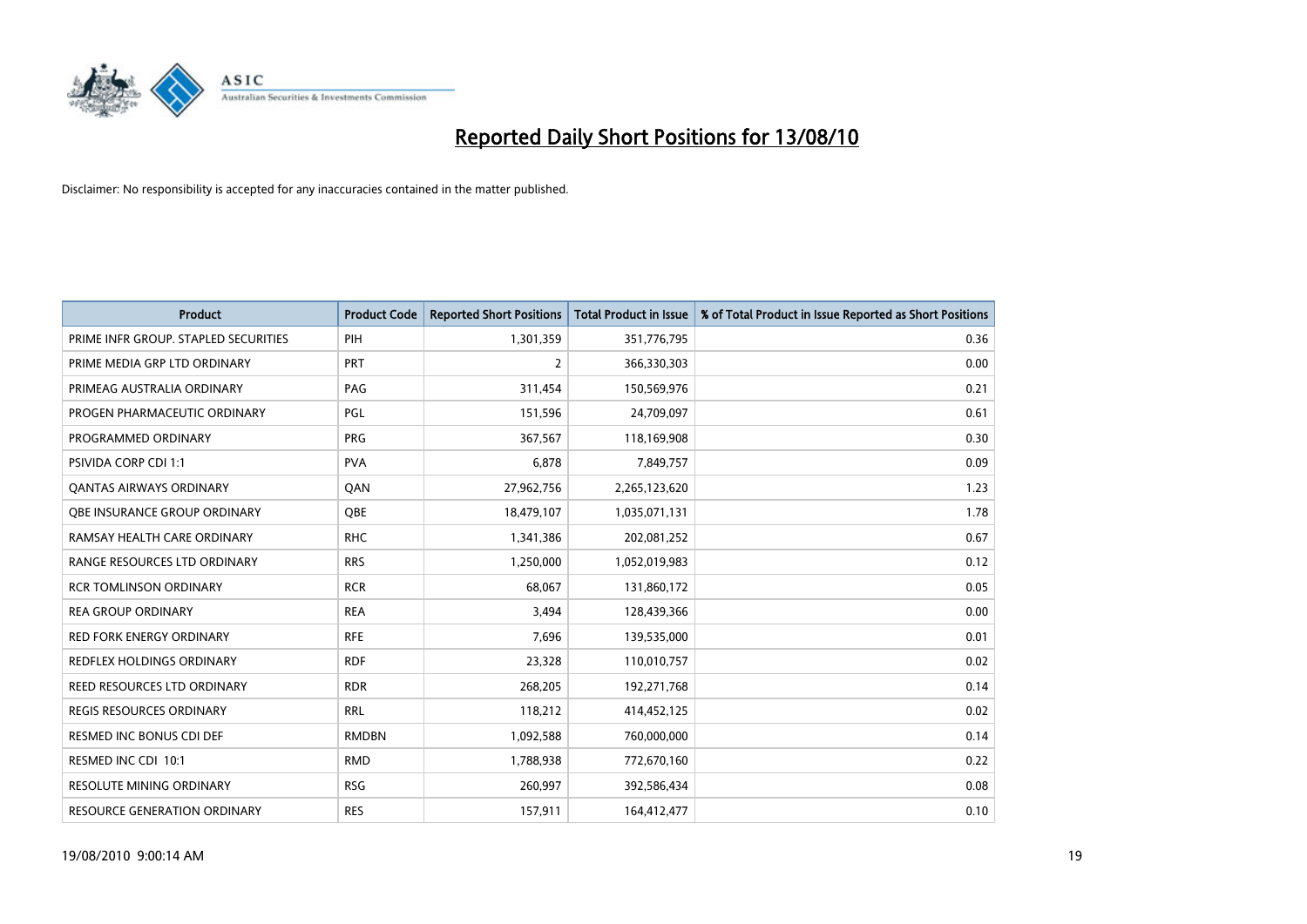

| <b>Product</b>                       | <b>Product Code</b> | <b>Reported Short Positions</b> | <b>Total Product in Issue</b> | % of Total Product in Issue Reported as Short Positions |
|--------------------------------------|---------------------|---------------------------------|-------------------------------|---------------------------------------------------------|
| PRIME INFR GROUP. STAPLED SECURITIES | PIH                 | 1,301,359                       | 351,776,795                   | 0.36                                                    |
| PRIME MEDIA GRP LTD ORDINARY         | <b>PRT</b>          | 2                               | 366,330,303                   | 0.00                                                    |
| PRIMEAG AUSTRALIA ORDINARY           | PAG                 | 311,454                         | 150,569,976                   | 0.21                                                    |
| PROGEN PHARMACEUTIC ORDINARY         | PGL                 | 151,596                         | 24,709,097                    | 0.61                                                    |
| PROGRAMMED ORDINARY                  | <b>PRG</b>          | 367,567                         | 118,169,908                   | 0.30                                                    |
| PSIVIDA CORP CDI 1:1                 | <b>PVA</b>          | 6,878                           | 7,849,757                     | 0.09                                                    |
| <b>QANTAS AIRWAYS ORDINARY</b>       | QAN                 | 27,962,756                      | 2,265,123,620                 | 1.23                                                    |
| OBE INSURANCE GROUP ORDINARY         | OBE                 | 18,479,107                      | 1,035,071,131                 | 1.78                                                    |
| RAMSAY HEALTH CARE ORDINARY          | <b>RHC</b>          | 1,341,386                       | 202,081,252                   | 0.67                                                    |
| RANGE RESOURCES LTD ORDINARY         | <b>RRS</b>          | 1,250,000                       | 1,052,019,983                 | 0.12                                                    |
| <b>RCR TOMLINSON ORDINARY</b>        | <b>RCR</b>          | 68,067                          | 131,860,172                   | 0.05                                                    |
| <b>REA GROUP ORDINARY</b>            | <b>REA</b>          | 3,494                           | 128,439,366                   | 0.00                                                    |
| <b>RED FORK ENERGY ORDINARY</b>      | <b>RFE</b>          | 7,696                           | 139,535,000                   | 0.01                                                    |
| <b>REDFLEX HOLDINGS ORDINARY</b>     | <b>RDF</b>          | 23,328                          | 110,010,757                   | 0.02                                                    |
| REED RESOURCES LTD ORDINARY          | <b>RDR</b>          | 268,205                         | 192,271,768                   | 0.14                                                    |
| REGIS RESOURCES ORDINARY             | <b>RRL</b>          | 118,212                         | 414,452,125                   | 0.02                                                    |
| RESMED INC BONUS CDI DEF             | <b>RMDBN</b>        | 1,092,588                       | 760,000,000                   | 0.14                                                    |
| RESMED INC CDI 10:1                  | <b>RMD</b>          | 1,788,938                       | 772,670,160                   | 0.22                                                    |
| <b>RESOLUTE MINING ORDINARY</b>      | <b>RSG</b>          | 260,997                         | 392,586,434                   | 0.08                                                    |
| <b>RESOURCE GENERATION ORDINARY</b>  | <b>RES</b>          | 157,911                         | 164,412,477                   | 0.10                                                    |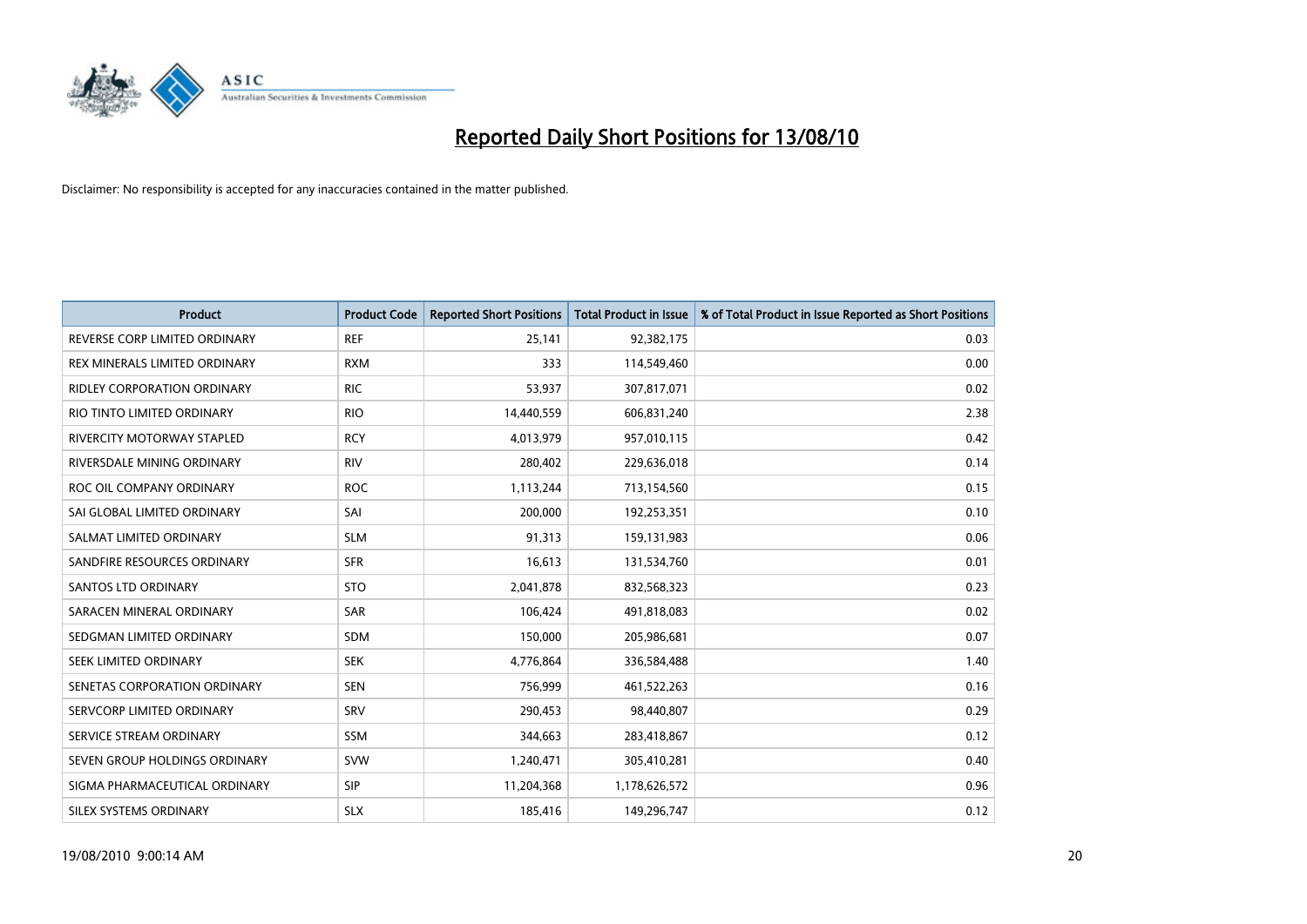

| <b>Product</b>                     | <b>Product Code</b> | <b>Reported Short Positions</b> | <b>Total Product in Issue</b> | % of Total Product in Issue Reported as Short Positions |
|------------------------------------|---------------------|---------------------------------|-------------------------------|---------------------------------------------------------|
| REVERSE CORP LIMITED ORDINARY      | <b>REF</b>          | 25,141                          | 92,382,175                    | 0.03                                                    |
| REX MINERALS LIMITED ORDINARY      | <b>RXM</b>          | 333                             | 114,549,460                   | 0.00                                                    |
| <b>RIDLEY CORPORATION ORDINARY</b> | <b>RIC</b>          | 53.937                          | 307,817,071                   | 0.02                                                    |
| RIO TINTO LIMITED ORDINARY         | <b>RIO</b>          | 14,440,559                      | 606,831,240                   | 2.38                                                    |
| RIVERCITY MOTORWAY STAPLED         | <b>RCY</b>          | 4,013,979                       | 957,010,115                   | 0.42                                                    |
| RIVERSDALE MINING ORDINARY         | <b>RIV</b>          | 280,402                         | 229,636,018                   | 0.14                                                    |
| ROC OIL COMPANY ORDINARY           | <b>ROC</b>          | 1,113,244                       | 713,154,560                   | 0.15                                                    |
| SAI GLOBAL LIMITED ORDINARY        | SAI                 | 200,000                         | 192,253,351                   | 0.10                                                    |
| SALMAT LIMITED ORDINARY            | <b>SLM</b>          | 91,313                          | 159,131,983                   | 0.06                                                    |
| SANDFIRE RESOURCES ORDINARY        | <b>SFR</b>          | 16,613                          | 131,534,760                   | 0.01                                                    |
| <b>SANTOS LTD ORDINARY</b>         | <b>STO</b>          | 2,041,878                       | 832,568,323                   | 0.23                                                    |
| SARACEN MINERAL ORDINARY           | <b>SAR</b>          | 106,424                         | 491,818,083                   | 0.02                                                    |
| SEDGMAN LIMITED ORDINARY           | <b>SDM</b>          | 150,000                         | 205,986,681                   | 0.07                                                    |
| SEEK LIMITED ORDINARY              | <b>SEK</b>          | 4,776,864                       | 336,584,488                   | 1.40                                                    |
| SENETAS CORPORATION ORDINARY       | <b>SEN</b>          | 756,999                         | 461,522,263                   | 0.16                                                    |
| SERVCORP LIMITED ORDINARY          | SRV                 | 290,453                         | 98,440,807                    | 0.29                                                    |
| SERVICE STREAM ORDINARY            | <b>SSM</b>          | 344,663                         | 283,418,867                   | 0.12                                                    |
| SEVEN GROUP HOLDINGS ORDINARY      | <b>SVW</b>          | 1,240,471                       | 305,410,281                   | 0.40                                                    |
| SIGMA PHARMACEUTICAL ORDINARY      | <b>SIP</b>          | 11,204,368                      | 1,178,626,572                 | 0.96                                                    |
| SILEX SYSTEMS ORDINARY             | <b>SLX</b>          | 185,416                         | 149,296,747                   | 0.12                                                    |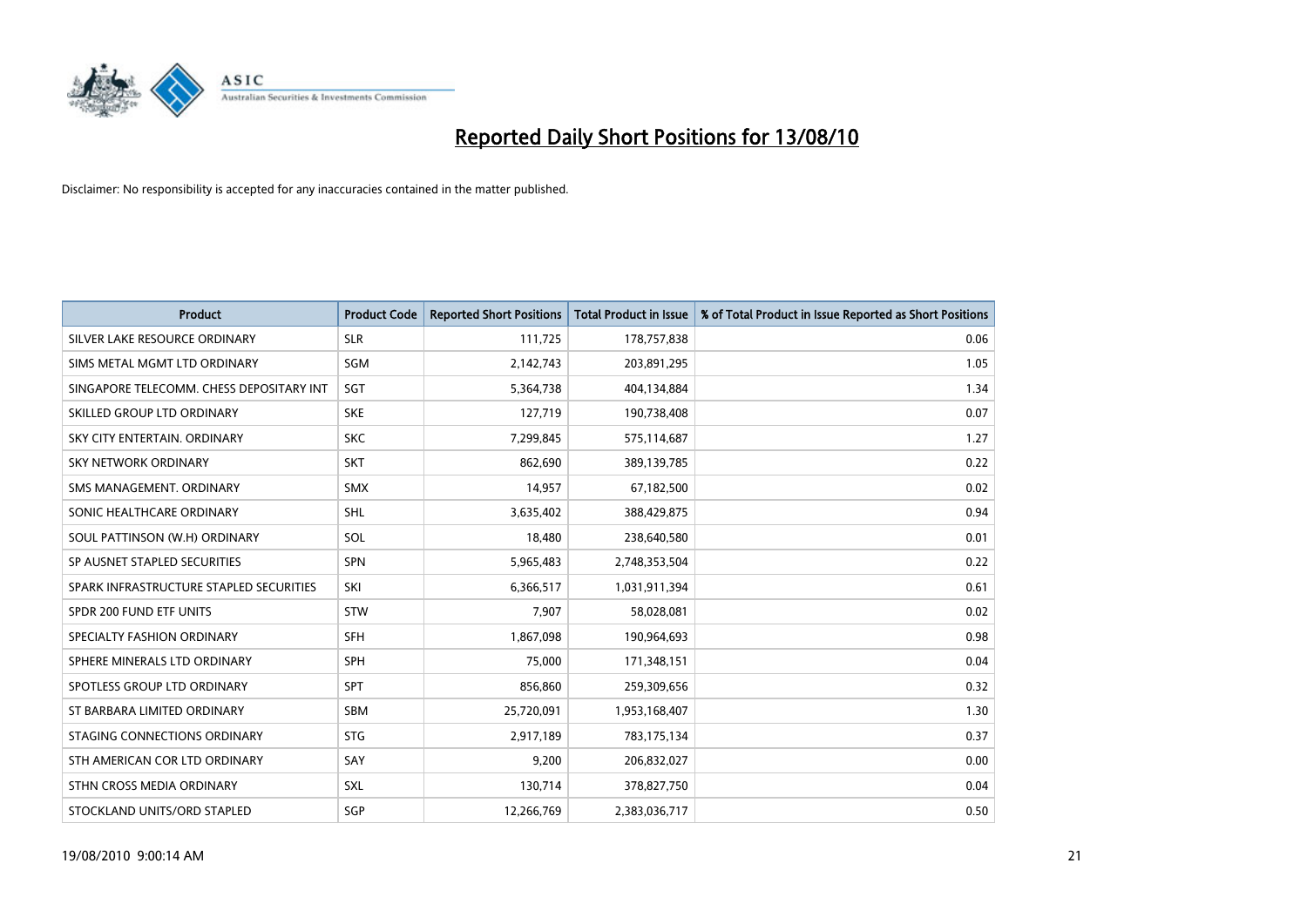

| <b>Product</b>                           | <b>Product Code</b> | <b>Reported Short Positions</b> | <b>Total Product in Issue</b> | % of Total Product in Issue Reported as Short Positions |
|------------------------------------------|---------------------|---------------------------------|-------------------------------|---------------------------------------------------------|
| SILVER LAKE RESOURCE ORDINARY            | <b>SLR</b>          | 111,725                         | 178,757,838                   | 0.06                                                    |
| SIMS METAL MGMT LTD ORDINARY             | SGM                 | 2,142,743                       | 203,891,295                   | 1.05                                                    |
| SINGAPORE TELECOMM. CHESS DEPOSITARY INT | SGT                 | 5,364,738                       | 404,134,884                   | 1.34                                                    |
| SKILLED GROUP LTD ORDINARY               | <b>SKE</b>          | 127,719                         | 190,738,408                   | 0.07                                                    |
| SKY CITY ENTERTAIN, ORDINARY             | <b>SKC</b>          | 7,299,845                       | 575,114,687                   | 1.27                                                    |
| <b>SKY NETWORK ORDINARY</b>              | <b>SKT</b>          | 862.690                         | 389,139,785                   | 0.22                                                    |
| SMS MANAGEMENT, ORDINARY                 | <b>SMX</b>          | 14,957                          | 67,182,500                    | 0.02                                                    |
| SONIC HEALTHCARE ORDINARY                | <b>SHL</b>          | 3,635,402                       | 388,429,875                   | 0.94                                                    |
| SOUL PATTINSON (W.H) ORDINARY            | SOL                 | 18,480                          | 238,640,580                   | 0.01                                                    |
| SP AUSNET STAPLED SECURITIES             | <b>SPN</b>          | 5,965,483                       | 2,748,353,504                 | 0.22                                                    |
| SPARK INFRASTRUCTURE STAPLED SECURITIES  | SKI                 | 6,366,517                       | 1,031,911,394                 | 0.61                                                    |
| SPDR 200 FUND ETF UNITS                  | STW                 | 7,907                           | 58,028,081                    | 0.02                                                    |
| SPECIALTY FASHION ORDINARY               | <b>SFH</b>          | 1,867,098                       | 190,964,693                   | 0.98                                                    |
| SPHERE MINERALS LTD ORDINARY             | <b>SPH</b>          | 75,000                          | 171,348,151                   | 0.04                                                    |
| SPOTLESS GROUP LTD ORDINARY              | <b>SPT</b>          | 856,860                         | 259,309,656                   | 0.32                                                    |
| ST BARBARA LIMITED ORDINARY              | <b>SBM</b>          | 25,720,091                      | 1,953,168,407                 | 1.30                                                    |
| STAGING CONNECTIONS ORDINARY             | <b>STG</b>          | 2,917,189                       | 783,175,134                   | 0.37                                                    |
| STH AMERICAN COR LTD ORDINARY            | SAY                 | 9,200                           | 206,832,027                   | 0.00                                                    |
| STHN CROSS MEDIA ORDINARY                | SXL                 | 130,714                         | 378,827,750                   | 0.04                                                    |
| STOCKLAND UNITS/ORD STAPLED              | SGP                 | 12,266,769                      | 2,383,036,717                 | 0.50                                                    |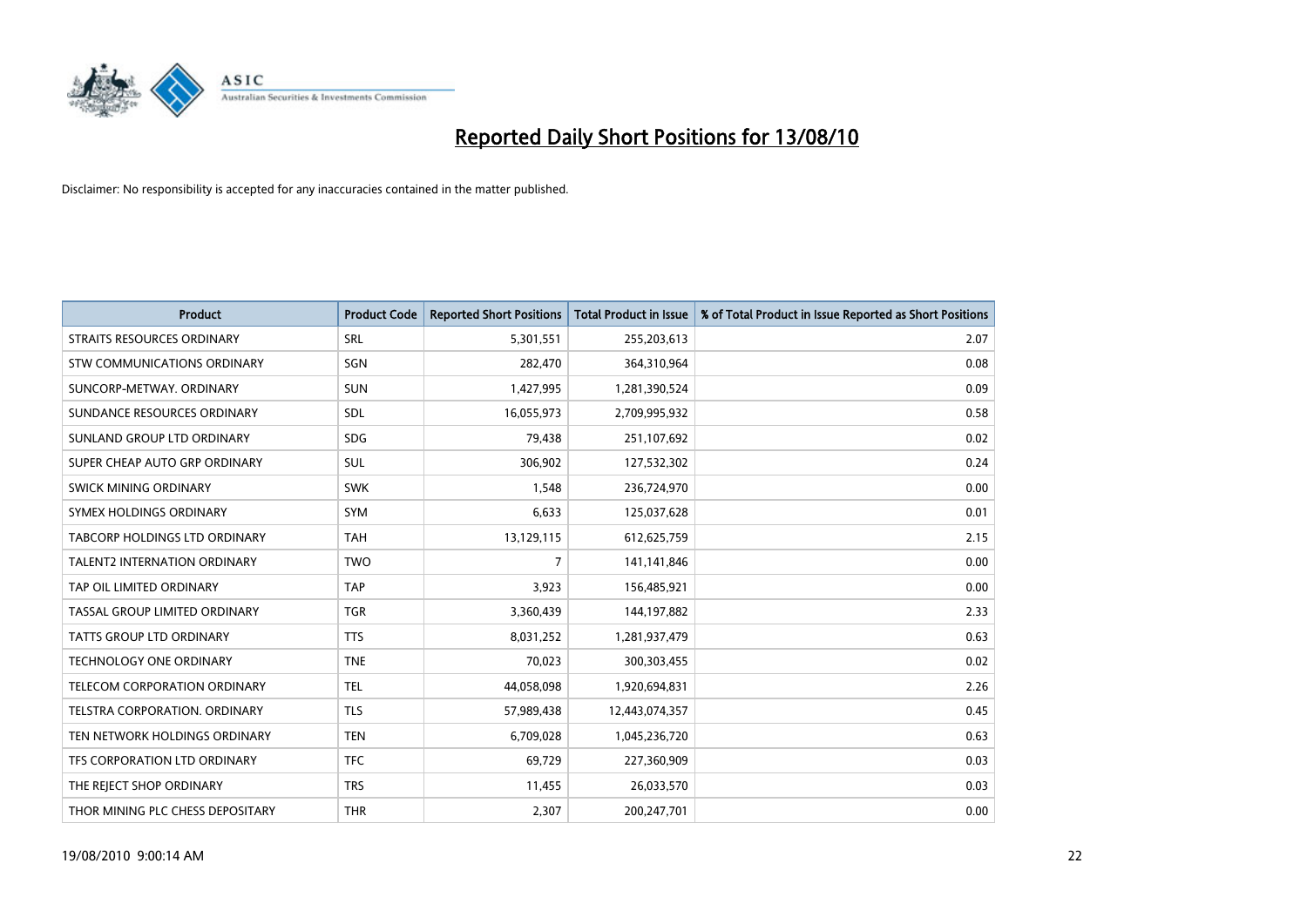

| <b>Product</b>                      | <b>Product Code</b> | <b>Reported Short Positions</b> | Total Product in Issue | % of Total Product in Issue Reported as Short Positions |
|-------------------------------------|---------------------|---------------------------------|------------------------|---------------------------------------------------------|
| <b>STRAITS RESOURCES ORDINARY</b>   | SRL                 | 5,301,551                       | 255,203,613            | 2.07                                                    |
| STW COMMUNICATIONS ORDINARY         | SGN                 | 282,470                         | 364,310,964            | 0.08                                                    |
| SUNCORP-METWAY, ORDINARY            | <b>SUN</b>          | 1,427,995                       | 1,281,390,524          | 0.09                                                    |
| SUNDANCE RESOURCES ORDINARY         | SDL                 | 16,055,973                      | 2,709,995,932          | 0.58                                                    |
| SUNLAND GROUP LTD ORDINARY          | <b>SDG</b>          | 79,438                          | 251,107,692            | 0.02                                                    |
| SUPER CHEAP AUTO GRP ORDINARY       | <b>SUL</b>          | 306,902                         | 127,532,302            | 0.24                                                    |
| <b>SWICK MINING ORDINARY</b>        | <b>SWK</b>          | 1,548                           | 236,724,970            | 0.00                                                    |
| SYMEX HOLDINGS ORDINARY             | <b>SYM</b>          | 6,633                           | 125,037,628            | 0.01                                                    |
| TABCORP HOLDINGS LTD ORDINARY       | <b>TAH</b>          | 13,129,115                      | 612,625,759            | 2.15                                                    |
| <b>TALENT2 INTERNATION ORDINARY</b> | <b>TWO</b>          | $\overline{7}$                  | 141,141,846            | 0.00                                                    |
| TAP OIL LIMITED ORDINARY            | <b>TAP</b>          | 3,923                           | 156,485,921            | 0.00                                                    |
| TASSAL GROUP LIMITED ORDINARY       | <b>TGR</b>          | 3,360,439                       | 144,197,882            | 2.33                                                    |
| TATTS GROUP LTD ORDINARY            | <b>TTS</b>          | 8,031,252                       | 1,281,937,479          | 0.63                                                    |
| <b>TECHNOLOGY ONE ORDINARY</b>      | <b>TNE</b>          | 70,023                          | 300,303,455            | 0.02                                                    |
| TELECOM CORPORATION ORDINARY        | <b>TEL</b>          | 44,058,098                      | 1,920,694,831          | 2.26                                                    |
| TELSTRA CORPORATION. ORDINARY       | <b>TLS</b>          | 57,989,438                      | 12,443,074,357         | 0.45                                                    |
| TEN NETWORK HOLDINGS ORDINARY       | <b>TEN</b>          | 6,709,028                       | 1,045,236,720          | 0.63                                                    |
| TFS CORPORATION LTD ORDINARY        | <b>TFC</b>          | 69,729                          | 227,360,909            | 0.03                                                    |
| THE REJECT SHOP ORDINARY            | <b>TRS</b>          | 11,455                          | 26,033,570             | 0.03                                                    |
| THOR MINING PLC CHESS DEPOSITARY    | <b>THR</b>          | 2,307                           | 200,247,701            | 0.00                                                    |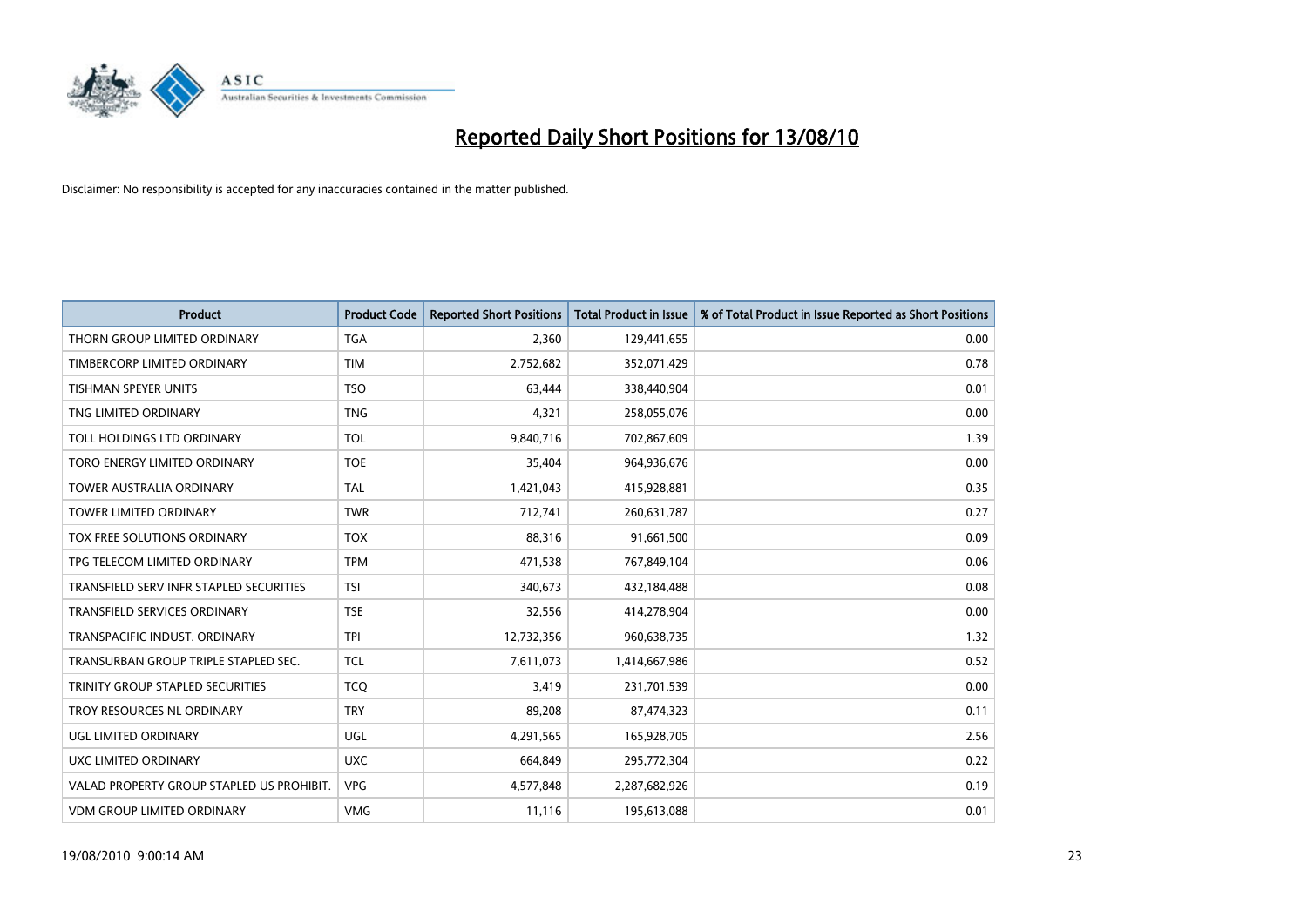

| <b>Product</b>                            | <b>Product Code</b> | <b>Reported Short Positions</b> | <b>Total Product in Issue</b> | % of Total Product in Issue Reported as Short Positions |
|-------------------------------------------|---------------------|---------------------------------|-------------------------------|---------------------------------------------------------|
| THORN GROUP LIMITED ORDINARY              | <b>TGA</b>          | 2,360                           | 129,441,655                   | 0.00                                                    |
| TIMBERCORP LIMITED ORDINARY               | <b>TIM</b>          | 2,752,682                       | 352,071,429                   | 0.78                                                    |
| <b>TISHMAN SPEYER UNITS</b>               | <b>TSO</b>          | 63,444                          | 338,440,904                   | 0.01                                                    |
| TNG LIMITED ORDINARY                      | <b>TNG</b>          | 4,321                           | 258,055,076                   | 0.00                                                    |
| TOLL HOLDINGS LTD ORDINARY                | <b>TOL</b>          | 9,840,716                       | 702,867,609                   | 1.39                                                    |
| TORO ENERGY LIMITED ORDINARY              | <b>TOE</b>          | 35,404                          | 964,936,676                   | 0.00                                                    |
| <b>TOWER AUSTRALIA ORDINARY</b>           | <b>TAL</b>          | 1,421,043                       | 415,928,881                   | 0.35                                                    |
| <b>TOWER LIMITED ORDINARY</b>             | <b>TWR</b>          | 712,741                         | 260,631,787                   | 0.27                                                    |
| TOX FREE SOLUTIONS ORDINARY               | <b>TOX</b>          | 88,316                          | 91,661,500                    | 0.09                                                    |
| TPG TELECOM LIMITED ORDINARY              | <b>TPM</b>          | 471,538                         | 767,849,104                   | 0.06                                                    |
| TRANSFIELD SERV INFR STAPLED SECURITIES   | <b>TSI</b>          | 340,673                         | 432,184,488                   | 0.08                                                    |
| <b>TRANSFIELD SERVICES ORDINARY</b>       | <b>TSE</b>          | 32,556                          | 414,278,904                   | 0.00                                                    |
| TRANSPACIFIC INDUST. ORDINARY             | <b>TPI</b>          | 12,732,356                      | 960,638,735                   | 1.32                                                    |
| TRANSURBAN GROUP TRIPLE STAPLED SEC.      | <b>TCL</b>          | 7,611,073                       | 1,414,667,986                 | 0.52                                                    |
| TRINITY GROUP STAPLED SECURITIES          | <b>TCQ</b>          | 3,419                           | 231,701,539                   | 0.00                                                    |
| TROY RESOURCES NL ORDINARY                | <b>TRY</b>          | 89,208                          | 87,474,323                    | 0.11                                                    |
| UGL LIMITED ORDINARY                      | UGL                 | 4,291,565                       | 165,928,705                   | 2.56                                                    |
| UXC LIMITED ORDINARY                      | <b>UXC</b>          | 664,849                         | 295,772,304                   | 0.22                                                    |
| VALAD PROPERTY GROUP STAPLED US PROHIBIT. | <b>VPG</b>          | 4,577,848                       | 2,287,682,926                 | 0.19                                                    |
| <b>VDM GROUP LIMITED ORDINARY</b>         | <b>VMG</b>          | 11,116                          | 195,613,088                   | 0.01                                                    |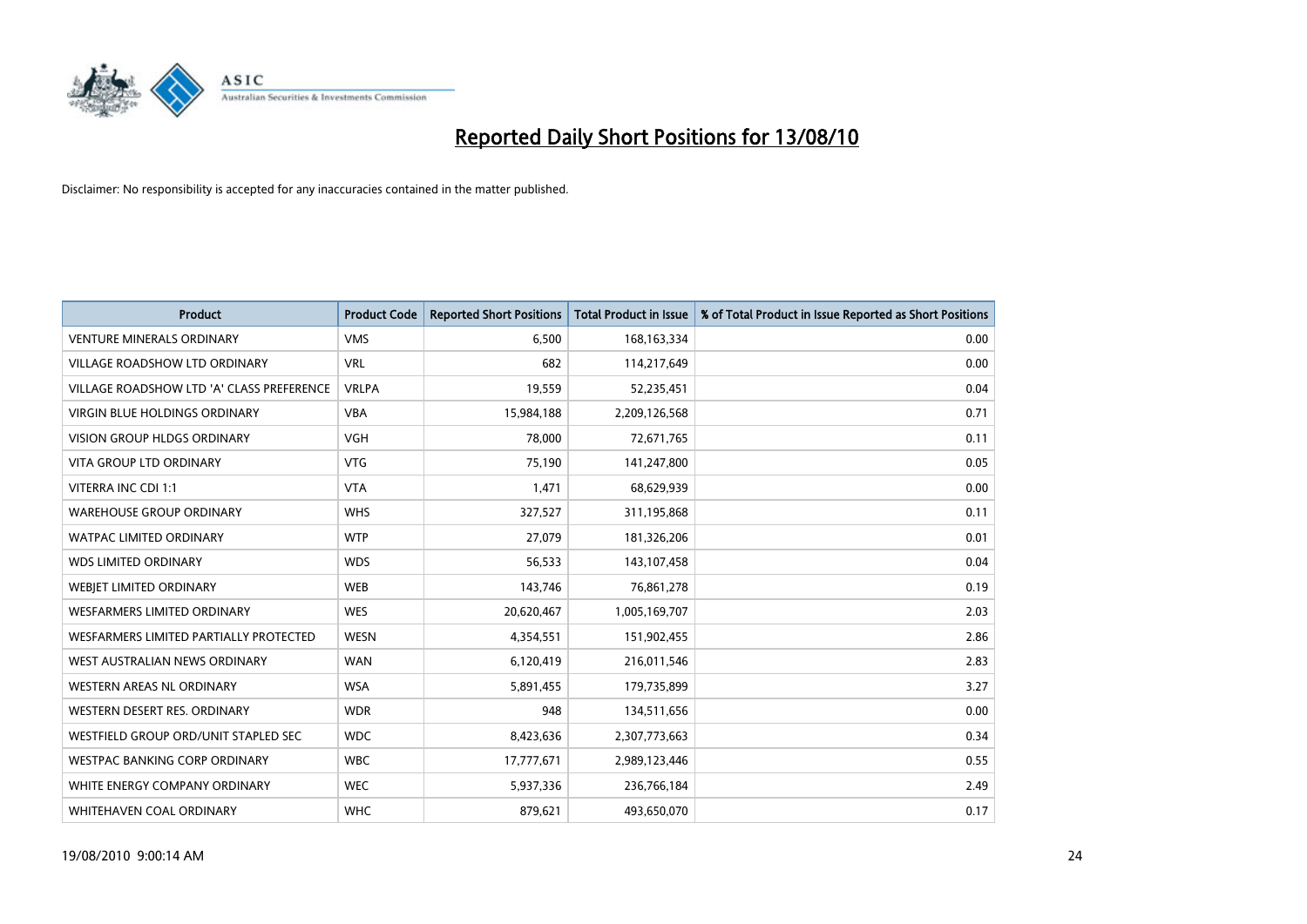

| <b>Product</b>                            | <b>Product Code</b> | <b>Reported Short Positions</b> | <b>Total Product in Issue</b> | % of Total Product in Issue Reported as Short Positions |
|-------------------------------------------|---------------------|---------------------------------|-------------------------------|---------------------------------------------------------|
| <b>VENTURE MINERALS ORDINARY</b>          | <b>VMS</b>          | 6,500                           | 168, 163, 334                 | 0.00                                                    |
| VILLAGE ROADSHOW LTD ORDINARY             | <b>VRL</b>          | 682                             | 114,217,649                   | 0.00                                                    |
| VILLAGE ROADSHOW LTD 'A' CLASS PREFERENCE | <b>VRLPA</b>        | 19,559                          | 52,235,451                    | 0.04                                                    |
| VIRGIN BLUE HOLDINGS ORDINARY             | <b>VBA</b>          | 15,984,188                      | 2,209,126,568                 | 0.71                                                    |
| <b>VISION GROUP HLDGS ORDINARY</b>        | <b>VGH</b>          | 78,000                          | 72,671,765                    | 0.11                                                    |
| <b>VITA GROUP LTD ORDINARY</b>            | <b>VTG</b>          | 75,190                          | 141,247,800                   | 0.05                                                    |
| VITERRA INC CDI 1:1                       | <b>VTA</b>          | 1,471                           | 68,629,939                    | 0.00                                                    |
| <b>WAREHOUSE GROUP ORDINARY</b>           | <b>WHS</b>          | 327,527                         | 311,195,868                   | 0.11                                                    |
| <b>WATPAC LIMITED ORDINARY</b>            | <b>WTP</b>          | 27,079                          | 181,326,206                   | 0.01                                                    |
| <b>WDS LIMITED ORDINARY</b>               | <b>WDS</b>          | 56,533                          | 143,107,458                   | 0.04                                                    |
| <b>WEBJET LIMITED ORDINARY</b>            | <b>WEB</b>          | 143,746                         | 76,861,278                    | 0.19                                                    |
| <b>WESFARMERS LIMITED ORDINARY</b>        | <b>WES</b>          | 20,620,467                      | 1,005,169,707                 | 2.03                                                    |
| WESFARMERS LIMITED PARTIALLY PROTECTED    | <b>WESN</b>         | 4,354,551                       | 151,902,455                   | 2.86                                                    |
| WEST AUSTRALIAN NEWS ORDINARY             | <b>WAN</b>          | 6,120,419                       | 216,011,546                   | 2.83                                                    |
| WESTERN AREAS NL ORDINARY                 | <b>WSA</b>          | 5,891,455                       | 179,735,899                   | 3.27                                                    |
| WESTERN DESERT RES. ORDINARY              | <b>WDR</b>          | 948                             | 134,511,656                   | 0.00                                                    |
| WESTFIELD GROUP ORD/UNIT STAPLED SEC      | <b>WDC</b>          | 8,423,636                       | 2,307,773,663                 | 0.34                                                    |
| WESTPAC BANKING CORP ORDINARY             | <b>WBC</b>          | 17,777,671                      | 2,989,123,446                 | 0.55                                                    |
| WHITE ENERGY COMPANY ORDINARY             | <b>WEC</b>          | 5,937,336                       | 236,766,184                   | 2.49                                                    |
| WHITEHAVEN COAL ORDINARY                  | <b>WHC</b>          | 879,621                         | 493,650,070                   | 0.17                                                    |